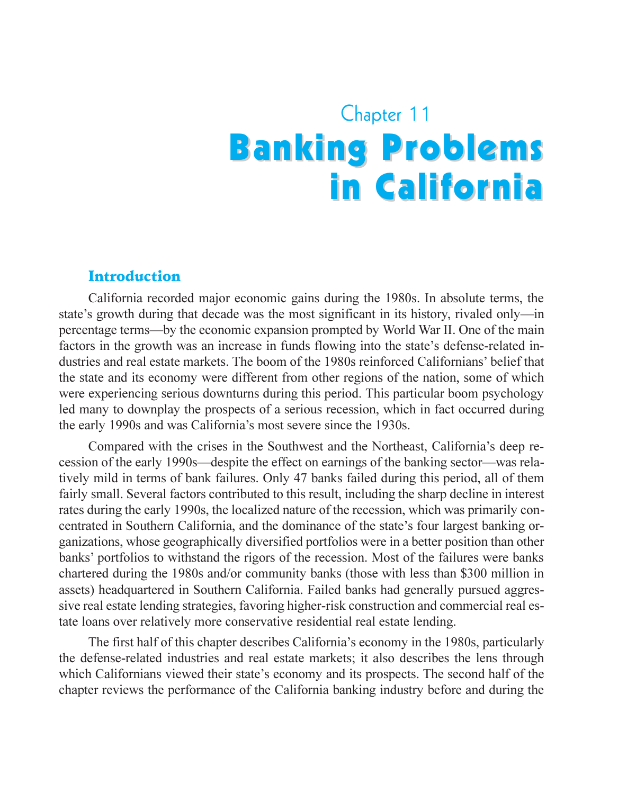# Chapter 11 **Banking Problems** in California

#### Introduction

California recorded major economic gains during the 1980s. In absolute terms, the state's growth during that decade was the most significant in its history, rivaled only—in percentage terms—by the economic expansion prompted by World War II. One of the main factors in the growth was an increase in funds flowing into the state's defense-related industries and real estate markets. The boom of the 1980s reinforced Californians' belief that the state and its economy were different from other regions of the nation, some of which were experiencing serious downturns during this period. This particular boom psychology led many to downplay the prospects of a serious recession, which in fact occurred during the early 1990s and was California's most severe since the 1930s.

Compared with the crises in the Southwest and the Northeast, California's deep recession of the early 1990s—despite the effect on earnings of the banking sector—was relatively mild in terms of bank failures. Only 47 banks failed during this period, all of them fairly small. Several factors contributed to this result, including the sharp decline in interest rates during the early 1990s, the localized nature of the recession, which was primarily concentrated in Southern California, and the dominance of the state's four largest banking organizations, whose geographically diversified portfolios were in a better position than other banks' portfolios to withstand the rigors of the recession. Most of the failures were banks chartered during the 1980s and/or community banks (those with less than \$300 million in assets) headquartered in Southern California. Failed banks had generally pursued aggressive real estate lending strategies, favoring higher-risk construction and commercial real estate loans over relatively more conservative residential real estate lending.

The first half of this chapter describes California's economy in the 1980s, particularly the defense-related industries and real estate markets; it also describes the lens through which Californians viewed their state's economy and its prospects. The second half of the chapter reviews the performance of the California banking industry before and during the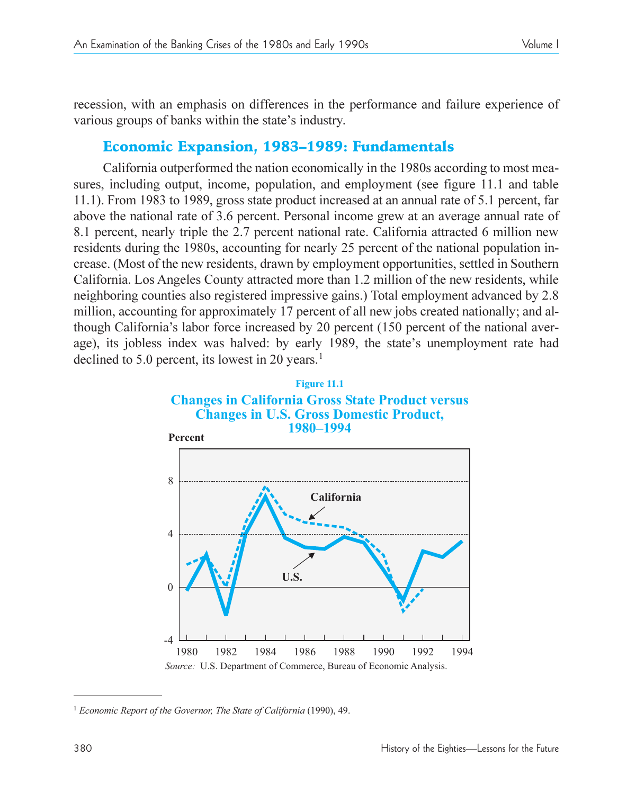recession, with an emphasis on differences in the performance and failure experience of various groups of banks within the state's industry.

# Economic Expansion, 1983-1989: Fundamentals

California outperformed the nation economically in the 1980s according to most measures, including output, income, population, and employment (see figure 11.1 and table 11.1). From 1983 to 1989, gross state product increased at an annual rate of 5.1 percent, far above the national rate of 3.6 percent. Personal income grew at an average annual rate of 8.1 percent, nearly triple the 2.7 percent national rate. California attracted 6 million new residents during the 1980s, accounting for nearly 25 percent of the national population increase. (Most of the new residents, drawn by employment opportunities, settled in Southern California. Los Angeles County attracted more than 1.2 million of the new residents, while neighboring counties also registered impressive gains.) Total employment advanced by 2.8 million, accounting for approximately 17 percent of all new jobs created nationally; and although California's labor force increased by 20 percent (150 percent of the national average), its jobless index was halved: by early 1989, the state's unemployment rate had declined to 5.0 percent, its lowest in 20 years.<sup>1</sup>



<sup>1</sup> *Economic Report of the Governor, The State of California* (1990), 49.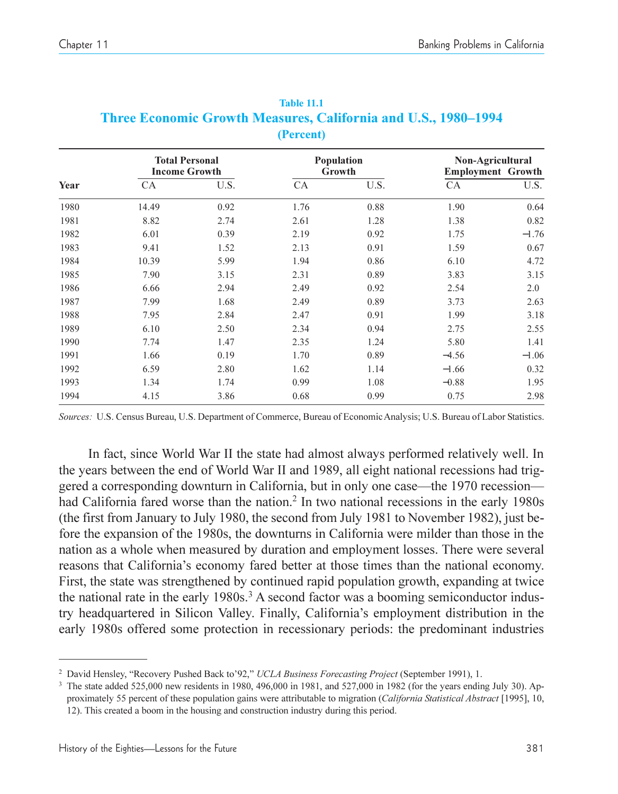|      |       | <b>Total Personal</b><br><b>Income Growth</b> |      | Population<br>Growth |         | Non-Agricultural<br><b>Employment Growth</b> |  |
|------|-------|-----------------------------------------------|------|----------------------|---------|----------------------------------------------|--|
| Year | CA    | U.S.                                          | CA   | U.S.                 | CA      | U.S.                                         |  |
| 1980 | 14.49 | 0.92                                          | 1.76 | 0.88                 | 1.90    | 0.64                                         |  |
| 1981 | 8.82  | 2.74                                          | 2.61 | 1.28                 | 1.38    | 0.82                                         |  |
| 1982 | 6.01  | 0.39                                          | 2.19 | 0.92                 | 1.75    | $-1.76$                                      |  |
| 1983 | 9.41  | 1.52                                          | 2.13 | 0.91                 | 1.59    | 0.67                                         |  |
| 1984 | 10.39 | 5.99                                          | 1.94 | 0.86                 | 6.10    | 4.72                                         |  |
| 1985 | 7.90  | 3.15                                          | 2.31 | 0.89                 | 3.83    | 3.15                                         |  |
| 1986 | 6.66  | 2.94                                          | 2.49 | 0.92                 | 2.54    | 2.0                                          |  |
| 1987 | 7.99  | 1.68                                          | 2.49 | 0.89                 | 3.73    | 2.63                                         |  |
| 1988 | 7.95  | 2.84                                          | 2.47 | 0.91                 | 1.99    | 3.18                                         |  |
| 1989 | 6.10  | 2.50                                          | 2.34 | 0.94                 | 2.75    | 2.55                                         |  |
| 1990 | 7.74  | 1.47                                          | 2.35 | 1.24                 | 5.80    | 1.41                                         |  |
| 1991 | 1.66  | 0.19                                          | 1.70 | 0.89                 | $-4.56$ | $-1.06$                                      |  |
| 1992 | 6.59  | 2.80                                          | 1.62 | 1.14                 | $-1.66$ | 0.32                                         |  |
| 1993 | 1.34  | 1.74                                          | 0.99 | 1.08                 | $-0.88$ | 1.95                                         |  |
| 1994 | 4.15  | 3.86                                          | 0.68 | 0.99                 | 0.75    | 2.98                                         |  |

|                                                                       | <b>Table 11.1</b> |  |  |  |
|-----------------------------------------------------------------------|-------------------|--|--|--|
| <b>Three Economic Growth Measures, California and U.S., 1980–1994</b> |                   |  |  |  |
|                                                                       | (Percent)         |  |  |  |

*Sources:* U.S. Census Bureau, U.S. Department of Commerce, Bureau of Economic Analysis; U.S. Bureau of Labor Statistics.

In fact, since World War II the state had almost always performed relatively well. In the years between the end of World War II and 1989, all eight national recessions had triggered a corresponding downturn in California, but in only one case—the 1970 recession had California fared worse than the nation.<sup>2</sup> In two national recessions in the early 1980s (the first from January to July 1980, the second from July 1981 to November 1982), just before the expansion of the 1980s, the downturns in California were milder than those in the nation as a whole when measured by duration and employment losses. There were several reasons that California's economy fared better at those times than the national economy. First, the state was strengthened by continued rapid population growth, expanding at twice the national rate in the early 1980s.<sup>3</sup> A second factor was a booming semiconductor industry headquartered in Silicon Valley. Finally, Californias employment distribution in the early 1980s offered some protection in recessionary periods: the predominant industries

<sup>&</sup>lt;sup>2</sup> David Hensley, "Recovery Pushed Back to'92," UCLA Business Forecasting Project (September 1991), 1.

<sup>&</sup>lt;sup>3</sup> The state added 525,000 new residents in 1980, 496,000 in 1981, and 527,000 in 1982 (for the years ending July 30). Approximately 55 percent of these population gains were attributable to migration (*California Statistical Abstract* [1995], 10, 12). This created a boom in the housing and construction industry during this period.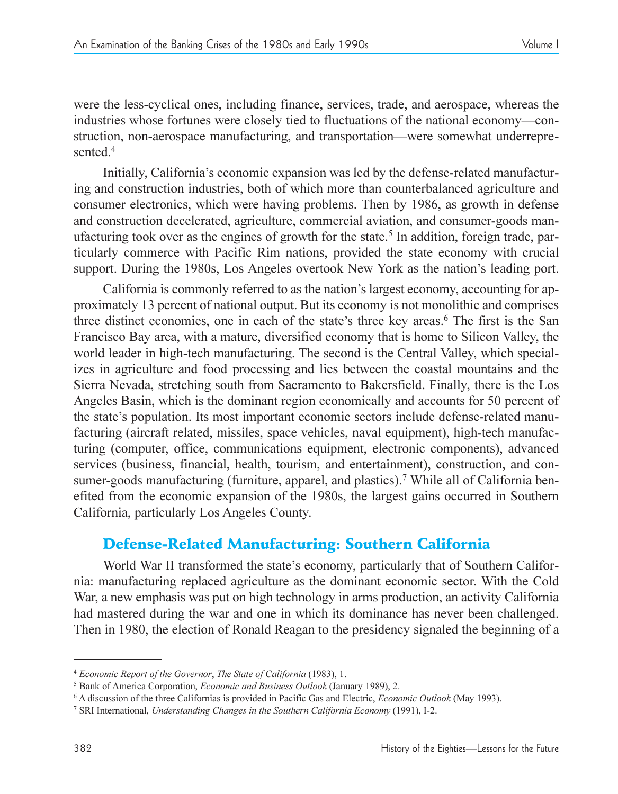were the less-cyclical ones, including finance, services, trade, and aerospace, whereas the industries whose fortunes were closely tied to fluctuations of the national economy—construction, non-aerospace manufacturing, and transportation—were somewhat underrepresented<sup>4</sup>

Initially, California's economic expansion was led by the defense-related manufacturing and construction industries, both of which more than counterbalanced agriculture and consumer electronics, which were having problems. Then by 1986, as growth in defense and construction decelerated, agriculture, commercial aviation, and consumer-goods manufacturing took over as the engines of growth for the state.<sup>5</sup> In addition, foreign trade, particularly commerce with Pacific Rim nations, provided the state economy with crucial support. During the 1980s, Los Angeles overtook New York as the nation's leading port.

California is commonly referred to as the nation's largest economy, accounting for approximately 13 percent of national output. But its economy is not monolithic and comprises three distinct economies, one in each of the state's three key areas.<sup>6</sup> The first is the San Francisco Bay area, with a mature, diversified economy that is home to Silicon Valley, the world leader in high-tech manufacturing. The second is the Central Valley, which specializes in agriculture and food processing and lies between the coastal mountains and the Sierra Nevada, stretching south from Sacramento to Bakersfield. Finally, there is the Los Angeles Basin, which is the dominant region economically and accounts for 50 percent of the state's population. Its most important economic sectors include defense-related manufacturing (aircraft related, missiles, space vehicles, naval equipment), high-tech manufacturing (computer, office, communications equipment, electronic components), advanced services (business, financial, health, tourism, and entertainment), construction, and consumer-goods manufacturing (furniture, apparel, and plastics).<sup>7</sup> While all of California benefited from the economic expansion of the 1980s, the largest gains occurred in Southern California, particularly Los Angeles County.

# Defense-Related Manufacturing: Southern California

World War II transformed the state's economy, particularly that of Southern California: manufacturing replaced agriculture as the dominant economic sector. With the Cold War, a new emphasis was put on high technology in arms production, an activity California had mastered during the war and one in which its dominance has never been challenged. Then in 1980, the election of Ronald Reagan to the presidency signaled the beginning of a

<sup>4</sup> *Economic Report of the Governor*, *The State of California* (1983), 1.

<sup>5</sup> Bank of America Corporation, *Economic and Business Outlook* (January 1989), 2.

<sup>6</sup> A discussion of the three Californias is provided in Pacific Gas and Electric, *Economic Outlook* (May 1993).

<sup>7</sup> SRI International, *Understanding Changes in the Southern California Economy* (1991), I-2.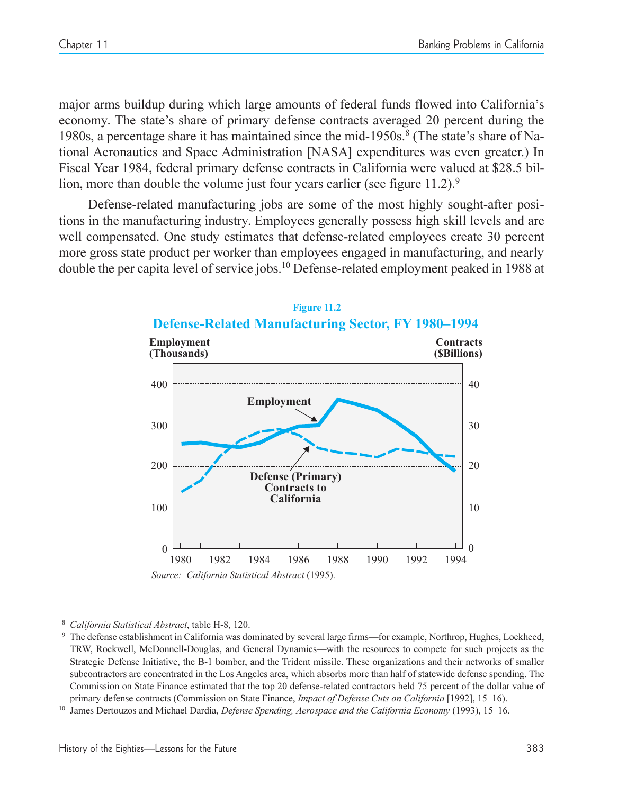major arms buildup during which large amounts of federal funds flowed into California's economy. The state's share of primary defense contracts averaged 20 percent during the 1980s, a percentage share it has maintained since the mid-1950s.<sup>8</sup> (The state's share of National Aeronautics and Space Administration [NASA] expenditures was even greater.) In Fiscal Year 1984, federal primary defense contracts in California were valued at \$28.5 billion, more than double the volume just four years earlier (see figure  $11.2$ ).<sup>9</sup>

Defense-related manufacturing jobs are some of the most highly sought-after positions in the manufacturing industry. Employees generally possess high skill levels and are well compensated. One study estimates that defense-related employees create 30 percent more gross state product per worker than employees engaged in manufacturing, and nearly double the per capita level of service jobs.10 Defense-related employment peaked in 1988 at



### **Figure 11.2 Defense-Related Manufacturing Sector, FY 1980–1994**

<sup>8</sup> *California Statistical Abstract*, table H-8, 120.

<sup>&</sup>lt;sup>9</sup> The defense establishment in California was dominated by several large firms—for example, Northrop, Hughes, Lockheed, TRW, Rockwell, McDonnell-Douglas, and General Dynamics—with the resources to compete for such projects as the Strategic Defense Initiative, the B-1 bomber, and the Trident missile. These organizations and their networks of smaller subcontractors are concentrated in the Los Angeles area, which absorbs more than half of statewide defense spending. The Commission on State Finance estimated that the top 20 defense-related contractors held 75 percent of the dollar value of primary defense contracts (Commission on State Finance, *Impact of Defense Cuts on California* [1992], 15–16).

<sup>&</sup>lt;sup>10</sup> James Dertouzos and Michael Dardia, *Defense Spending, Aerospace and the California Economy* (1993), 15-16.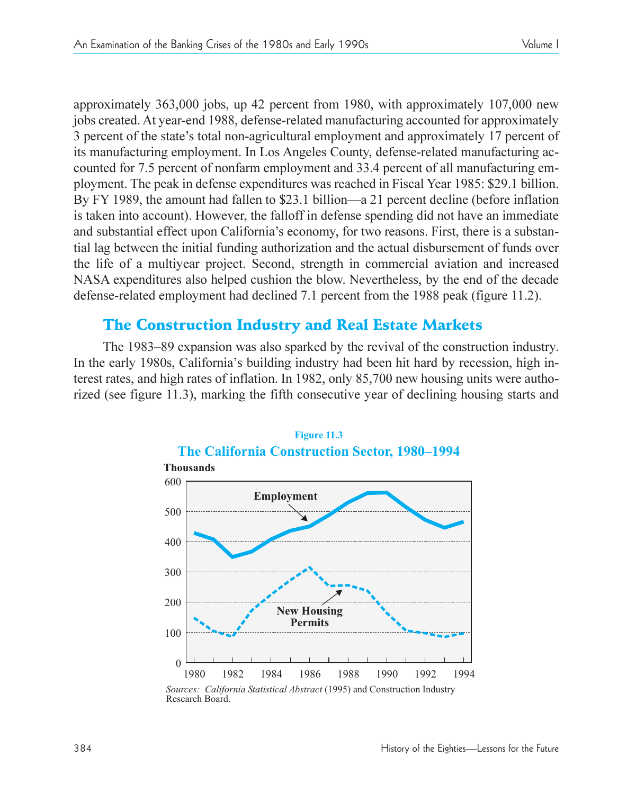approximately 363,000 jobs, up 42 percent from 1980, with approximately 107,000 new jobs created. At year-end 1988, defense-related manufacturing accounted for approximately 3 percent of the state's total non-agricultural employment and approximately 17 percent of its manufacturing employment. In Los Angeles County, defense-related manufacturing accounted for 7.5 percent of nonfarm employment and 33.4 percent of all manufacturing employment. The peak in defense expenditures was reached in Fiscal Year 1985: \$29.1 billion. By FY 1989, the amount had fallen to \$23.1 billion—a 21 percent decline (before inflation is taken into account). However, the falloff in defense spending did not have an immediate and substantial effect upon California's economy, for two reasons. First, there is a substantial lag between the initial funding authorization and the actual disbursement of funds over the life of a multiyear project. Second, strength in commercial aviation and increased NASA expenditures also helped cushion the blow. Nevertheless, by the end of the decade defense-related employment had declined 7.1 percent from the 1988 peak (figure 11.2).

# The Construction Industry and Real Estate Markets

The 1983–89 expansion was also sparked by the revival of the construction industry. In the early 1980s, California's building industry had been hit hard by recession, high interest rates, and high rates of inflation. In 1982, only 85,700 new housing units were authorized (see figure 11.3), marking the fifth consecutive year of declining housing starts and



*Sources: California Statistical Abstract* (1995) and Construction Industry Research Board.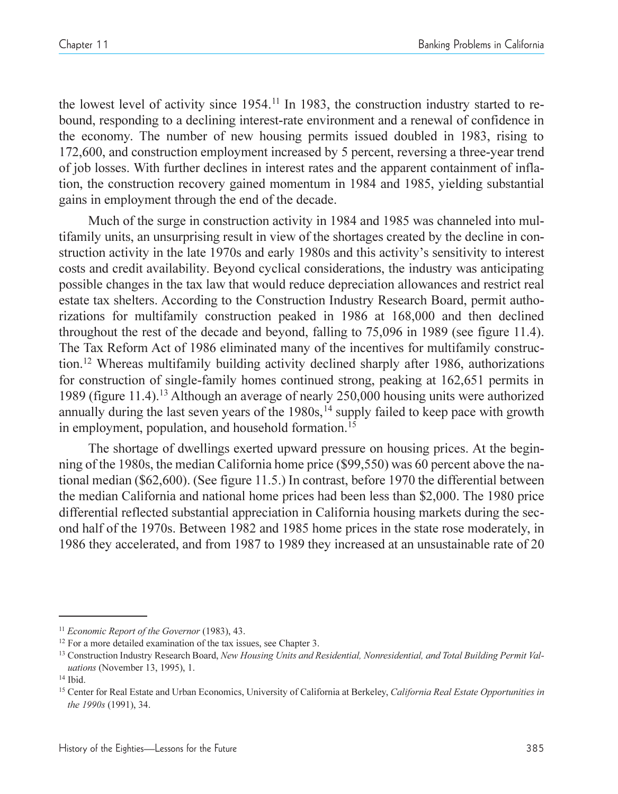the lowest level of activity since 1954.11 In 1983, the construction industry started to rebound, responding to a declining interest-rate environment and a renewal of confidence in the economy. The number of new housing permits issued doubled in 1983, rising to 172,600, and construction employment increased by 5 percent, reversing a three-year trend of job losses. With further declines in interest rates and the apparent containment of inflation, the construction recovery gained momentum in 1984 and 1985, yielding substantial gains in employment through the end of the decade.

Much of the surge in construction activity in 1984 and 1985 was channeled into multifamily units, an unsurprising result in view of the shortages created by the decline in construction activity in the late 1970s and early 1980s and this activity's sensitivity to interest costs and credit availability. Beyond cyclical considerations, the industry was anticipating possible changes in the tax law that would reduce depreciation allowances and restrict real estate tax shelters. According to the Construction Industry Research Board, permit authorizations for multifamily construction peaked in 1986 at 168,000 and then declined throughout the rest of the decade and beyond, falling to 75,096 in 1989 (see figure 11.4). The Tax Reform Act of 1986 eliminated many of the incentives for multifamily construction.12 Whereas multifamily building activity declined sharply after 1986, authorizations for construction of single-family homes continued strong, peaking at 162,651 permits in 1989 (figure 11.4).13 Although an average of nearly 250,000 housing units were authorized annually during the last seven years of the  $1980s$ ,<sup>14</sup> supply failed to keep pace with growth in employment, population, and household formation.<sup>15</sup>

The shortage of dwellings exerted upward pressure on housing prices. At the beginning of the 1980s, the median California home price (\$99,550) was 60 percent above the national median (\$62,600). (See figure 11.5.) In contrast, before 1970 the differential between the median California and national home prices had been less than \$2,000. The 1980 price differential reflected substantial appreciation in California housing markets during the second half of the 1970s. Between 1982 and 1985 home prices in the state rose moderately, in 1986 they accelerated, and from 1987 to 1989 they increased at an unsustainable rate of 20

<sup>11</sup> *Economic Report of the Governor* (1983), 43.

<sup>&</sup>lt;sup>12</sup> For a more detailed examination of the tax issues, see Chapter 3.

<sup>&</sup>lt;sup>13</sup> Construction Industry Research Board, *New Housing Units and Residential, Nonresidential, and Total Building Permit Valuations* (November 13, 1995), 1.

<sup>14</sup> Ibid.

<sup>15</sup> Center for Real Estate and Urban Economics, University of California at Berkeley, *California Real Estate Opportunities in the 1990s* (1991), 34.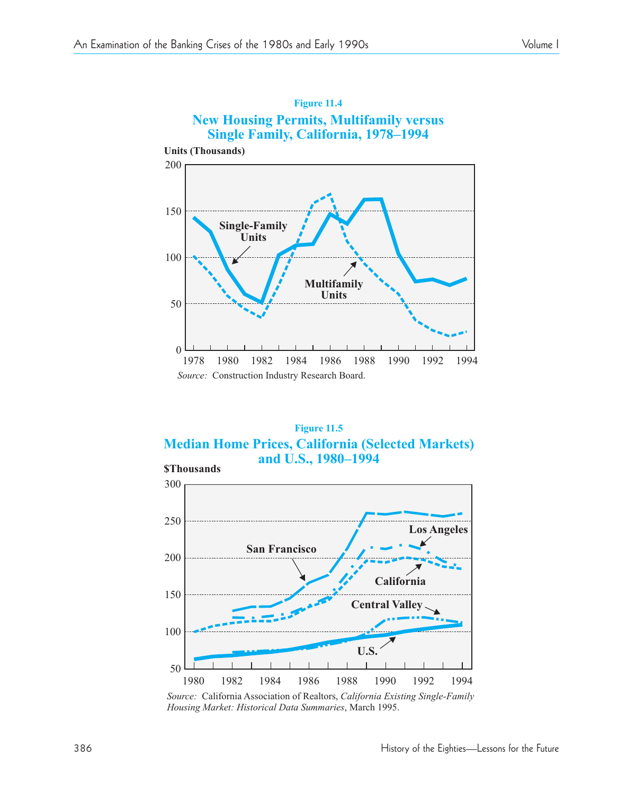

# **Figure 11.4**

**Figure 11.5 Median Home Prices, California (Selected Markets) and U.S., 1980–1994 \$Thousands**



Source: California Association of Realtors, California Existing Single-Family *Housing Market: H istorical Data Summaries*, March 1995.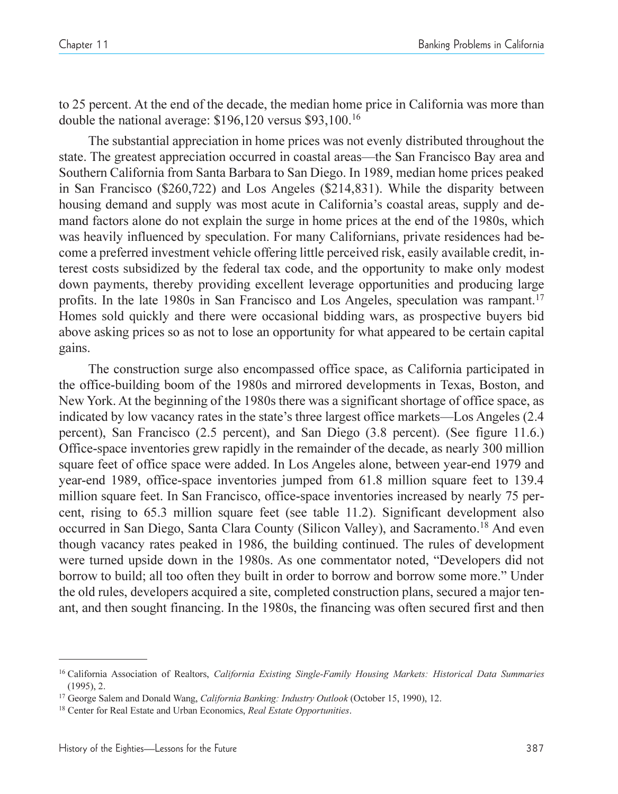to 25 percent. At the end of the decade, the median home price in California was more than double the national average: \$196,120 versus \$93,100.16

The substantial appreciation in home prices was not evenly distributed throughout the state. The greatest appreciation occurred in coastal areas—the San Francisco Bay area and Southern California from Santa Barbara to San Diego. In 1989, median home prices peaked in San Francisco (\$260,722) and Los Angeles (\$214,831). While the disparity between housing demand and supply was most acute in California's coastal areas, supply and demand factors alone do not explain the surge in home prices at the end of the 1980s, which was heavily influenced by speculation. For many Californians, private residences had become a preferred investment vehicle offering little perceived risk, easily available credit, interest costs subsidized by the federal tax code, and the opportunity to make only modest down payments, thereby providing excellent leverage opportunities and producing large profits. In the late 1980s in San Francisco and Los Angeles, speculation was rampant.<sup>17</sup> Homes sold quickly and there were occasional bidding wars, as prospective buyers bid above asking prices so as not to lose an opportunity for what appeared to be certain capital gains.

The construction surge also encompassed office space, as California participated in the office-building boom of the 1980s and mirrored developments in Texas, Boston, and New York. At the beginning of the 1980s there was a significant shortage of office space, as indicated by low vacancy rates in the state's three largest office markets—Los Angeles (2.4) percent), San Francisco (2.5 percent), and San Diego (3.8 percent). (See figure 11.6.) Office-space inventories grew rapidly in the remainder of the decade, as nearly 300 million square feet of office space were added. In Los Angeles alone, between year-end 1979 and year-end 1989, office-space inventories jumped from 61.8 million square feet to 139.4 million square feet. In San Francisco, office-space inventories increased by nearly 75 percent, rising to 65.3 million square feet (see table 11.2). Significant development also occurred in San Diego, Santa Clara County (Silicon Valley), and Sacramento.<sup>18</sup> And even though vacancy rates peaked in 1986, the building continued. The rules of development were turned upside down in the 1980s. As one commentator noted, "Developers did not borrow to build; all too often they built in order to borrow and borrow some more." Under the old rules, developers acquired a site, completed construction plans, secured a major tenant, and then sought financing. In the 1980s, the financing was often secured first and then

<sup>16</sup> California Association of Realtors, *California Existing Single-Family Housing Markets: Historical Data Summaries* (1995), 2.

<sup>17</sup> George Salem and Donald Wang, *California Banking: Industry Outlook* (October 15, 1990), 12.

<sup>18</sup> Center for Real Estate and Urban Economics, *Real Estate Opportunities*.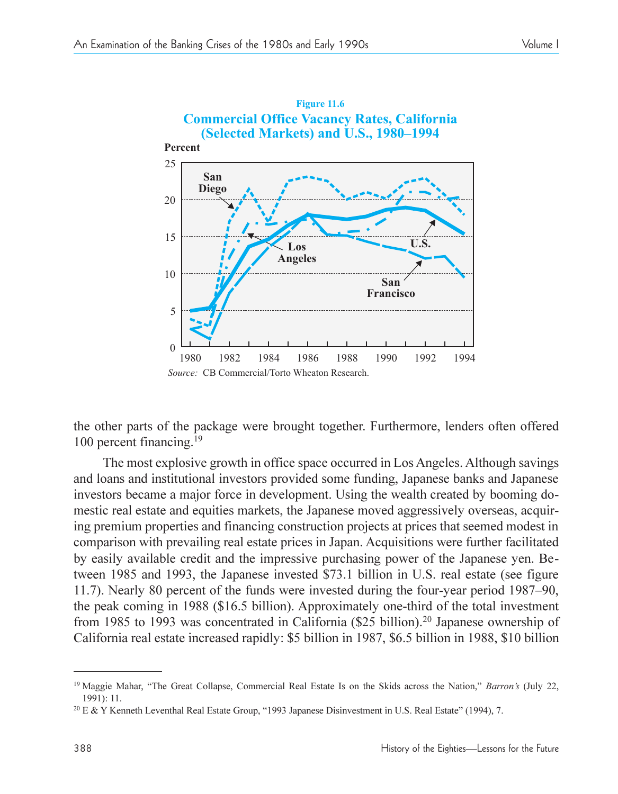

the other parts of the package were brought together. Furthermore, lenders often offered 100 percent financing.<sup>19</sup>

The most explosive growth in office space occurred in Los Angeles. Although savings and loans and institutional investors provided some funding, Japanese banks and Japanese investors became a major force in development. Using the wealth created by booming domestic real estate and equities markets, the Japanese moved aggressively overseas, acquiring premium properties and financing construction projects at prices that seemed modest in comparison with prevailing real estate prices in Japan. Acquisitions were further facilitated by easily available credit and the impressive purchasing power of the Japanese yen. Between 1985 and 1993, the Japanese invested \$73.1 billion in U.S. real estate (see figure 11.7). Nearly 80 percent of the funds were invested during the four-year period 1987–90, the peak coming in 1988 (\$16.5 billion). Approximately one-third of the total investment from 1985 to 1993 was concentrated in California (\$25 billion).20 Japanese ownership of California real estate increased rapidly: \$5 billion in 1987, \$6.5 billion in 1988, \$10 billion

<sup>&</sup>lt;sup>19</sup> Maggie Mahar, "The Great Collapse, Commercial Real Estate Is on the Skids across the Nation," *Barron's* (July 22, 1991): 11.

<sup>&</sup>lt;sup>20</sup> E & Y Kenneth Leventhal Real Estate Group, "1993 Japanese Disinvestment in U.S. Real Estate" (1994), 7.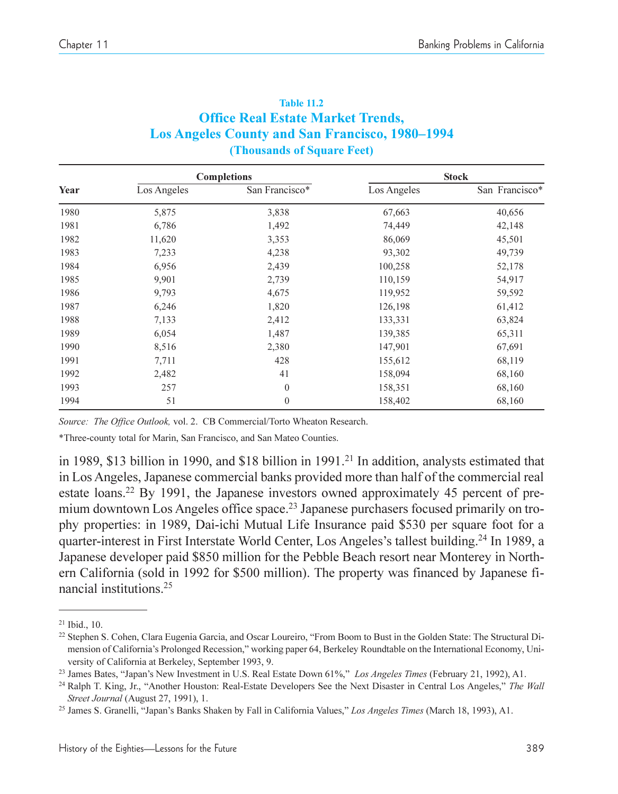| <b>Table 11.2</b>                                      |
|--------------------------------------------------------|
| <b>Office Real Estate Market Trends,</b>               |
| <b>Los Angeles County and San Francisco, 1980–1994</b> |
| (Thousands of Square Feet)                             |

|      |             | <b>Completions</b> |             | <b>Stock</b>   |
|------|-------------|--------------------|-------------|----------------|
| Year | Los Angeles | San Francisco*     | Los Angeles | San Francisco* |
| 1980 | 5,875       | 3,838              | 67,663      | 40,656         |
| 1981 | 6,786       | 1,492              | 74,449      | 42,148         |
| 1982 | 11,620      | 3,353              | 86,069      | 45,501         |
| 1983 | 7,233       | 4,238              | 93,302      | 49,739         |
| 1984 | 6,956       | 2,439              | 100,258     | 52,178         |
| 1985 | 9,901       | 2,739              | 110,159     | 54,917         |
| 1986 | 9,793       | 4,675              | 119,952     | 59,592         |
| 1987 | 6,246       | 1,820              | 126,198     | 61,412         |
| 1988 | 7,133       | 2,412              | 133,331     | 63,824         |
| 1989 | 6,054       | 1,487              | 139,385     | 65,311         |
| 1990 | 8,516       | 2,380              | 147,901     | 67,691         |
| 1991 | 7,711       | 428                | 155,612     | 68,119         |
| 1992 | 2,482       | 41                 | 158,094     | 68,160         |
| 1993 | 257         | $\theta$           | 158,351     | 68,160         |
| 1994 | 51          | $\mathbf{0}$       | 158,402     | 68,160         |

*Source: The Office Outlook,* vol. 2. CB Commercial/Torto Wheaton Research.

\*Three-county total for Marin, San Francisco, and San Mateo Counties.

in 1989, \$13 billion in 1990, and \$18 billion in 1991.<sup>21</sup> In addition, analysts estimated that in Los Angeles, Japanese commercial banks provided more than half of the commercial real estate loans.22 By 1991, the Japanese investors owned approximately 45 percent of premium downtown Los Angeles office space.<sup>23</sup> Japanese purchasers focused primarily on trophy properties: in 1989, Dai-ichi Mutual Life Insurance paid \$530 per square foot for a quarter-interest in First Interstate World Center, Los Angeles's tallest building.<sup>24</sup> In 1989, a Japanese developer paid \$850 million for the Pebble Beach resort near Monterey in Northern California (sold in 1992 for \$500 million). The property was financed by Japanese financial institutions.25

<sup>21</sup> Ibid., 10.

<sup>&</sup>lt;sup>22</sup> Stephen S. Cohen, Clara Eugenia Garcia, and Oscar Loureiro, "From Boom to Bust in the Golden State: The Structural Dimension of California's Prolonged Recession," working paper 64, Berkeley Roundtable on the International Economy, University of California at Berkeley, September 1993, 9.

<sup>&</sup>lt;sup>23</sup> James Bates, "Japan's New Investment in U.S. Real Estate Down 61%," Los Angeles Times (February 21, 1992), A1.

<sup>&</sup>lt;sup>24</sup> Ralph T. King, Jr., "Another Houston: Real-Estate Developers See the Next Disaster in Central Los Angeles," The Wall *Street Journal* (August 27, 1991), 1.

<sup>&</sup>lt;sup>25</sup> James S. Granelli, "Japan's Banks Shaken by Fall in California Values," Los Angeles Times (March 18, 1993), A1.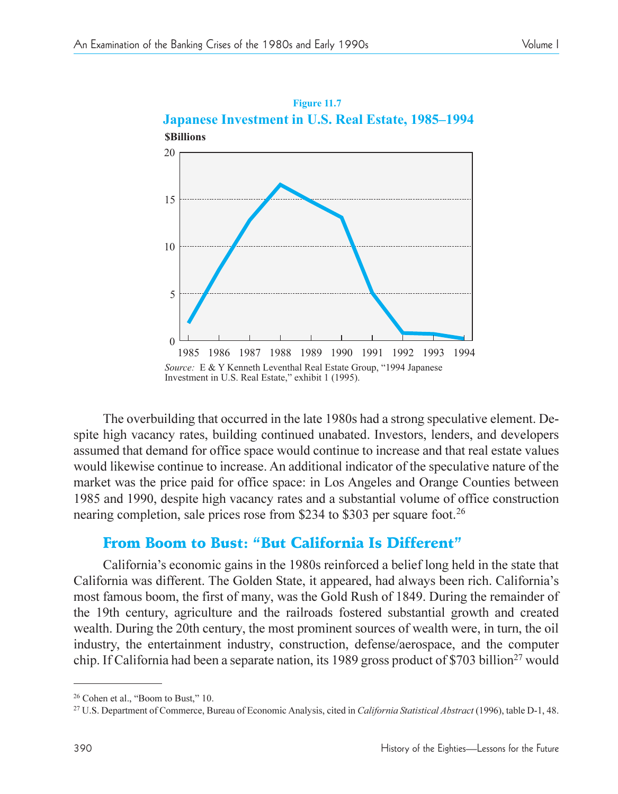

The overbuilding that occurred in the late 1980s had a strong speculative element. Despite high vacancy rates, building continued unabated. Investors, lenders, and developers assumed that demand for office space would continue to increase and that real estate values would likewise continue to increase. An additional indicator of the speculative nature of the market was the price paid for office space: in Los Angeles and Orange Counties between 1985 and 1990, despite high vacancy rates and a substantial volume of office construction nearing completion, sale prices rose from \$234 to \$303 per square foot.<sup>26</sup>

# From Boom to Bust: "But California Is Different"

California's economic gains in the 1980s reinforced a belief long held in the state that California was different. The Golden State, it appeared, had always been rich. California's most famous boom, the first of many, was the Gold Rush of 1849. During the remainder of the 19th century, agriculture and the railroads fostered substantial growth and created wealth. During the 20th century, the most prominent sources of wealth were, in turn, the oil industry, the entertainment industry, construction, defense/aerospace, and the computer chip. If California had been a separate nation, its 1989 gross product of \$703 billion<sup>27</sup> would

 $26$  Cohen et al., "Boom to Bust," 10.

<sup>27</sup> U.S. Department of Commerce, Bureau of Economic Analysis, cited in *California Statistical Abstract* (1996), table D-1, 48.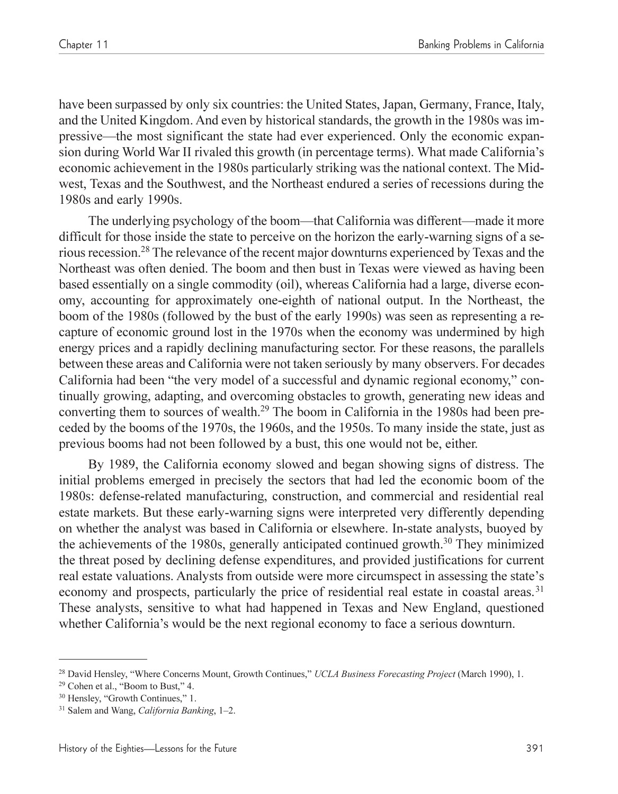have been surpassed by only six countries: the United States, Japan, Germany, France, Italy, and the United Kingdom. And even by historical standards, the growth in the 1980s was impressive—the most significant the state had ever experienced. Only the economic expansion during World War II rivaled this growth (in percentage terms). What made California's economic achievement in the 1980s particularly striking was the national context. The Midwest, Texas and the Southwest, and the Northeast endured a series of recessions during the 1980s and early 1990s.

The underlying psychology of the boom—that California was different—made it more difficult for those inside the state to perceive on the horizon the early-warning signs of a serious recession.28 The relevance of the recent major downturns experienced by Texas and the Northeast was often denied. The boom and then bust in Texas were viewed as having been based essentially on a single commodity (oil), whereas California had a large, diverse economy, accounting for approximately one-eighth of national output. In the Northeast, the boom of the 1980s (followed by the bust of the early 1990s) was seen as representing a recapture of economic ground lost in the 1970s when the economy was undermined by high energy prices and a rapidly declining manufacturing sector. For these reasons, the parallels between these areas and California were not taken seriously by many observers. For decades California had been "the very model of a successful and dynamic regional economy," continually growing, adapting, and overcoming obstacles to growth, generating new ideas and converting them to sources of wealth.29 The boom in California in the 1980s had been preceded by the booms of the 1970s, the 1960s, and the 1950s. To many inside the state, just as previous booms had not been followed by a bust, this one would not be, either.

By 1989, the California economy slowed and began showing signs of distress. The initial problems emerged in precisely the sectors that had led the economic boom of the 1980s: defense-related manufacturing, construction, and commercial and residential real estate markets. But these early-warning signs were interpreted very differently depending on whether the analyst was based in California or elsewhere. In-state analysts, buoyed by the achievements of the 1980s, generally anticipated continued growth.30 They minimized the threat posed by declining defense expenditures, and provided justifications for current real estate valuations. Analysts from outside were more circumspect in assessing the state's economy and prospects, particularly the price of residential real estate in coastal areas.<sup>31</sup> These analysts, sensitive to what had happened in Texas and New England, questioned whether California's would be the next regional economy to face a serious downturn.

<sup>&</sup>lt;sup>28</sup> David Hensley, "Where Concerns Mount, Growth Continues," UCLA Business Forecasting Project (March 1990), 1.

 $29$  Cohen et al., "Boom to Bust," 4.

<sup>&</sup>lt;sup>30</sup> Hensley, "Growth Continues," 1.

<sup>&</sup>lt;sup>31</sup> Salem and Wang, *California Banking*, 1-2.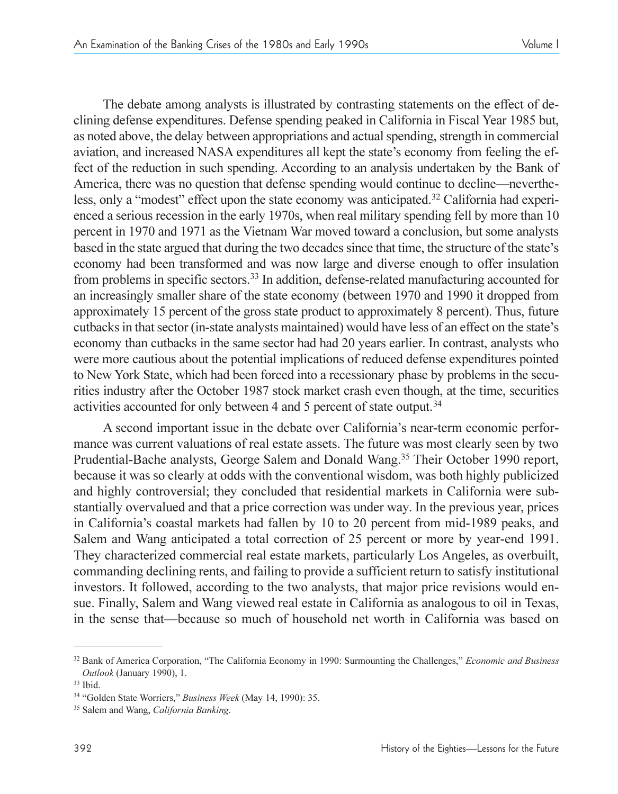The debate among analysts is illustrated by contrasting statements on the effect of declining defense expenditures. Defense spending peaked in California in Fiscal Year 1985 but, as noted above, the delay between appropriations and actual spending, strength in commercial aviation, and increased NASA expenditures all kept the state's economy from feeling the effect of the reduction in such spending. According to an analysis undertaken by the Bank of America, there was no question that defense spending would continue to decline—nevertheless, only a "modest" effect upon the state economy was anticipated.<sup>32</sup> California had experienced a serious recession in the early 1970s, when real military spending fell by more than 10 percent in 1970 and 1971 as the Vietnam War moved toward a conclusion, but some analysts based in the state argued that during the two decades since that time, the structure of the state's economy had been transformed and was now large and diverse enough to offer insulation from problems in specific sectors.<sup>33</sup> In addition, defense-related manufacturing accounted for an increasingly smaller share of the state economy (between 1970 and 1990 it dropped from approximately 15 percent of the gross state product to approximately 8 percent). Thus, future cutbacks in that sector (in-state analysts maintained) would have less of an effect on the state's economy than cutbacks in the same sector had had 20 years earlier. In contrast, analysts who were more cautious about the potential implications of reduced defense expenditures pointed to New York State, which had been forced into a recessionary phase by problems in the securities industry after the October 1987 stock market crash even though, at the time, securities activities accounted for only between 4 and 5 percent of state output.<sup>34</sup>

A second important issue in the debate over California's near-term economic performance was current valuations of real estate assets. The future was most clearly seen by two Prudential-Bache analysts, George Salem and Donald Wang.<sup>35</sup> Their October 1990 report, because it was so clearly at odds with the conventional wisdom, was both highly publicized and highly controversial; they concluded that residential markets in California were substantially overvalued and that a price correction was under way. In the previous year, prices in California's coastal markets had fallen by 10 to 20 percent from mid-1989 peaks, and Salem and Wang anticipated a total correction of 25 percent or more by year-end 1991. They characterized commercial real estate markets, particularly Los Angeles, as overbuilt, commanding declining rents, and failing to provide a sufficient return to satisfy institutional investors. It followed, according to the two analysts, that major price revisions would ensue. Finally, Salem and Wang viewed real estate in California as analogous to oil in Texas, in the sense that—because so much of household net worth in California was based on

<sup>&</sup>lt;sup>32</sup> Bank of America Corporation, "The California Economy in 1990: Surmounting the Challenges," *Economic and Business Outlook* (January 1990), 1.

<sup>33</sup> Ibid.

<sup>&</sup>lt;sup>34</sup> "Golden State Worriers," Business Week (May 14, 1990): 35.

<sup>35</sup> Salem and Wang, *California Banking*.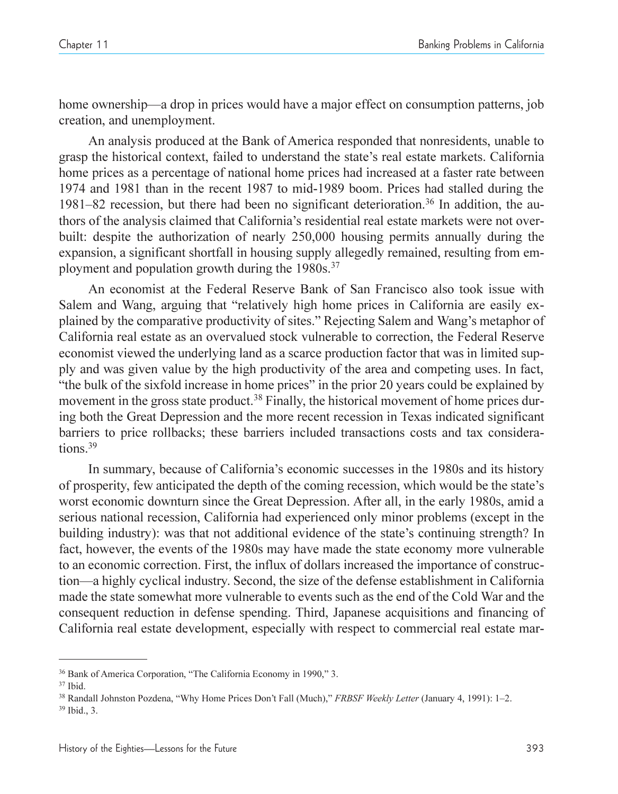home ownership—a drop in prices would have a major effect on consumption patterns, job creation, and unemployment.

An analysis produced at the Bank of America responded that nonresidents, unable to grasp the historical context, failed to understand the state's real estate markets. California home prices as a percentage of national home prices had increased at a faster rate between 1974 and 1981 than in the recent 1987 to mid-1989 boom. Prices had stalled during the 1981–82 recession, but there had been no significant deterioration.<sup>36</sup> In addition, the authors of the analysis claimed that California's residential real estate markets were not overbuilt: despite the authorization of nearly 250,000 housing permits annually during the expansion, a significant shortfall in housing supply allegedly remained, resulting from employment and population growth during the 1980s.<sup>37</sup>

An economist at the Federal Reserve Bank of San Francisco also took issue with Salem and Wang, arguing that "relatively high home prices in California are easily explained by the comparative productivity of sites." Rejecting Salem and Wang's metaphor of California real estate as an overvalued stock vulnerable to correction, the Federal Reserve economist viewed the underlying land as a scarce production factor that was in limited supply and was given value by the high productivity of the area and competing uses. In fact, "the bulk of the sixfold increase in home prices" in the prior 20 years could be explained by movement in the gross state product.<sup>38</sup> Finally, the historical movement of home prices during both the Great Depression and the more recent recession in Texas indicated significant barriers to price rollbacks; these barriers included transactions costs and tax considerations<sup>39</sup>

In summary, because of California's economic successes in the 1980s and its history of prosperity, few anticipated the depth of the coming recession, which would be the state's worst economic downturn since the Great Depression. After all, in the early 1980s, amid a serious national recession, California had experienced only minor problems (except in the building industry): was that not additional evidence of the state's continuing strength? In fact, however, the events of the 1980s may have made the state economy more vulnerable to an economic correction. First, the influx of dollars increased the importance of construction—a highly cyclical industry. Second, the size of the defense establishment in California made the state somewhat more vulnerable to events such as the end of the Cold War and the consequent reduction in defense spending. Third, Japanese acquisitions and financing of California real estate development, especially with respect to commercial real estate mar-

<sup>&</sup>lt;sup>36</sup> Bank of America Corporation, "The California Economy in 1990," 3.

<sup>37</sup> Ibid.

<sup>&</sup>lt;sup>38</sup> Randall Johnston Pozdena, "Why Home Prices Don't Fall (Much)," FRBSF Weekly Letter (January 4, 1991): 1-2.

<sup>39</sup> Ibid., 3.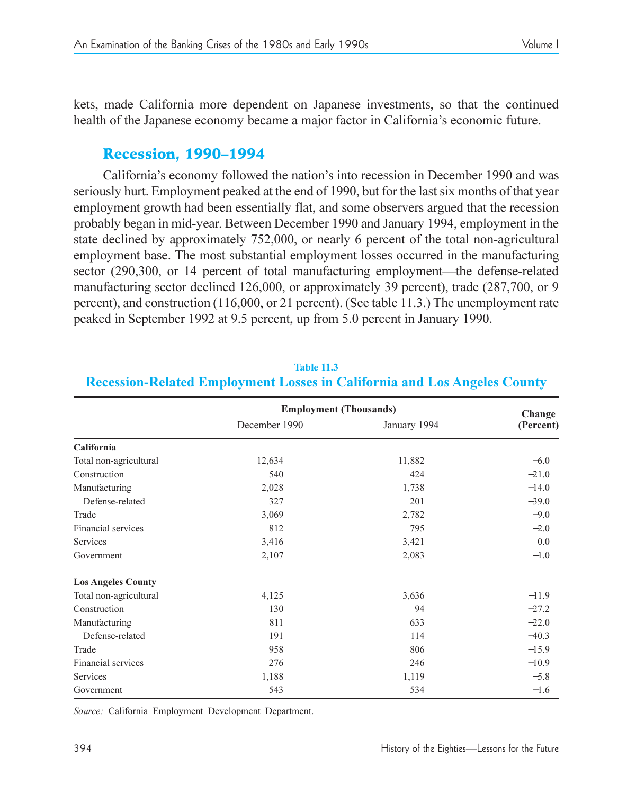kets, made California more dependent on Japanese investments, so that the continued health of the Japanese economy became a major factor in California's economic future.

# **Recession, 1990-1994**

California's economy followed the nation's into recession in December 1990 and was seriously hurt. Employment peaked at the end of 1990, but for the last six months of that year employment growth had been essentially flat, and some observers argued that the recession probably began in mid-year. Between December 1990 and January 1994, employment in the state declined by approximately 752,000, or nearly 6 percent of the total non-agricultural employment base. The most substantial employment losses occurred in the manufacturing sector  $(290,300,$  or 14 percent of total manufacturing employment—the defense-related manufacturing sector declined 126,000, or approximately 39 percent), trade (287,700, or 9 percent), and construction (116,000, or 21 percent). (See table 11.3.) The unemployment rate peaked in September 1992 at 9.5 percent, up from 5.0 percent in January 1990.

|                           | <b>Employment (Thousands)</b> |              | Change    |
|---------------------------|-------------------------------|--------------|-----------|
|                           | December 1990                 | January 1994 | (Percent) |
| California                |                               |              |           |
| Total non-agricultural    | 12,634                        | 11,882       | $-6.0$    |
| Construction              | 540                           | 424          | $-21.0$   |
| Manufacturing             | 2,028                         | 1,738        | $-14.0$   |
| Defense-related           | 327                           | 201          | $-39.0$   |
| Trade                     | 3,069                         | 2,782        | $-9.0$    |
| Financial services        | 812                           | 795          | $-2.0$    |
| Services                  | 3,416                         | 3,421        | 0.0       |
| Government                | 2,107                         | 2,083        | $-1.0$    |
| <b>Los Angeles County</b> |                               |              |           |
| Total non-agricultural    | 4,125                         | 3,636        | $-11.9$   |
| Construction              | 130                           | 94           | $-27.2$   |
| Manufacturing             | 811                           | 633          | $-22.0$   |
| Defense-related           | 191                           | 114          | $-40.3$   |
| Trade                     | 958                           | 806          | $-15.9$   |
| Financial services        | 276                           | 246          | $-10.9$   |
| Services                  | 1,188                         | 1,119        | $-5.8$    |
| Government                | 543                           | 534          | $-1.6$    |

#### **Table 11.3 Recession-Related Employment Losses in California and Los Angeles County**

*Source:* California Employment Development Department.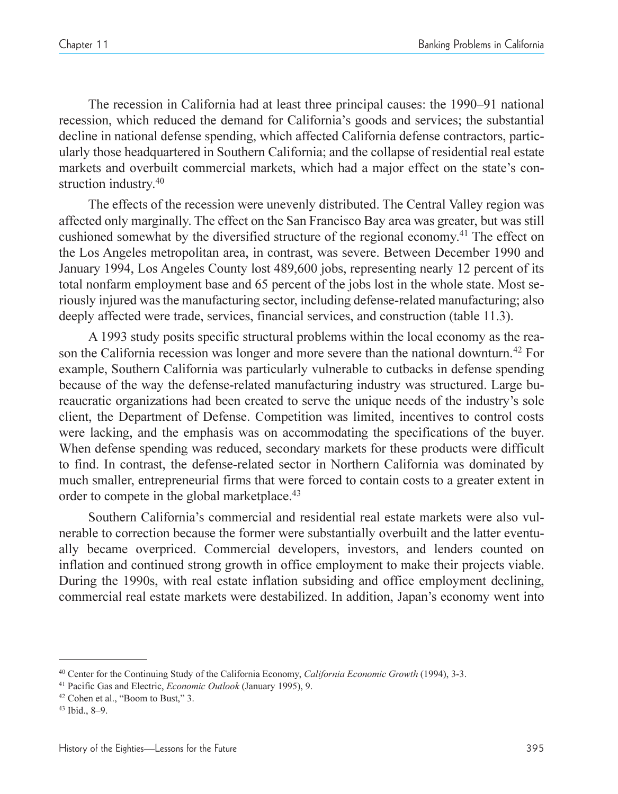The recession in California had at least three principal causes: the 1990–91 national recession, which reduced the demand for California's goods and services; the substantial decline in national defense spending, which affected California defense contractors, particularly those headquartered in Southern California; and the collapse of residential real estate markets and overbuilt commercial markets, which had a major effect on the state's construction industry. 40

The effects of the recession were unevenly distributed. The Central Valley region was affected only marginally. The effect on the San Francisco Bay area was greater, but was still cushioned somewhat by the diversified structure of the regional economy. <sup>41</sup> The effect on the Los Angeles metropolitan area, in contrast, was severe. Between December 1990 and January 1994, Los Angeles County lost 489,600 jobs, representing nearly 12 percent of its total nonfarm employment base and 65 percent of the jobs lost in the whole state. Most seriously injured was the manufacturing sector, including defense-related manufacturing; also deeply affected were trade, services, financial services, and construction (table 11.3).

A 1993 study posits specific structural problems within the local economy as the reason the California recession was longer and more severe than the national downturn.<sup>42</sup> For example, Southern California was particularly vulnerable to cutbacks in defense spending because of the way the defense-related manufacturing industry was structured. Large bureaucratic organizations had been created to serve the unique needs of the industry's sole client, the Department of Defense. Competition was limited, incentives to control costs were lacking, and the emphasis was on accommodating the specifications of the buyer. When defense spending was reduced, secondary markets for these products were difficult to find. In contrast, the defense-related sector in Northern California was dominated by much smaller, entrepreneurial firms that were forced to contain costs to a greater extent in order to compete in the global marketplace.<sup>43</sup>

Southern California's commercial and residential real estate markets were also vulnerable to correction because the former were substantially overbuilt and the latter eventually became overpriced. Commercial developers, investors, and lenders counted on inflation and continued strong growth in office employment to make their projects viable. During the 1990s, with real estate inflation subsiding and office employment declining, commercial real estate markets were destabilized. In addition, Japan's economy went into

<sup>40</sup> Center for the Continuing Study of the California Economy, *California Economic Growth* (1994), 3-3.

<sup>41</sup> Pacific Gas and Electric, *Economic Outlook* (January 1995), 9.

<sup>&</sup>lt;sup>42</sup> Cohen et al., "Boom to Bust," 3.

 $43$  Ibid., 8-9.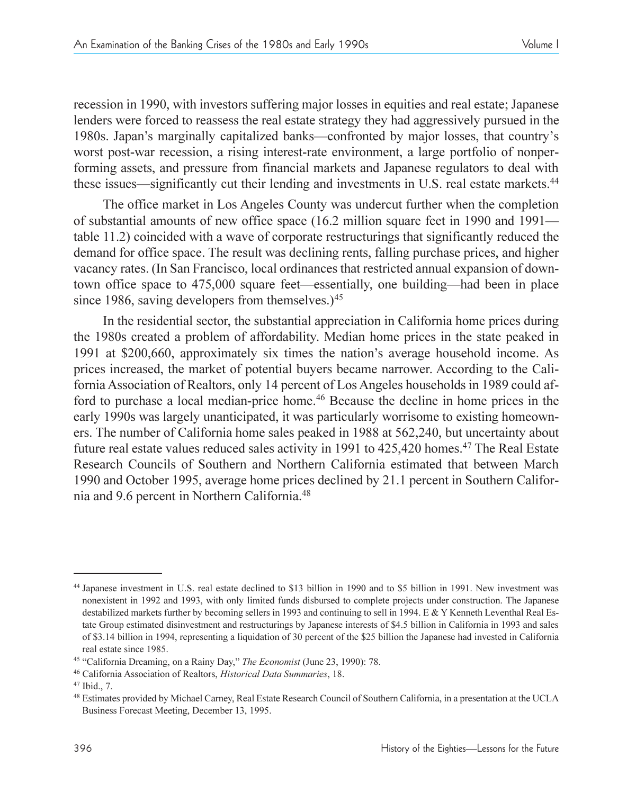recession in 1990, with investors suffering major losses in equities and real estate; Japanese lenders were forced to reassess the real estate strategy they had aggressively pursued in the 1980s. Japan's marginally capitalized banks—confronted by major losses, that country's worst post-war recession, a rising interest-rate environment, a large portfolio of nonperforming assets, and pressure from financial markets and Japanese regulators to deal with these issues—significantly cut their lending and investments in U.S. real estate markets.<sup>44</sup>

The office market in Los Angeles County was undercut further when the completion of substantial amounts of new office space (16.2 million square feet in 1990 and 1991 table 11.2) coincided with a wave of corporate restructurings that significantly reduced the demand for office space. The result was declining rents, falling purchase prices, and higher vacancy rates. (In San Francisco, local ordinances that restricted annual expansion of downtown office space to 475,000 square feet—essentially, one building—had been in place since 1986, saving developers from themselves.) $45$ 

In the residential sector, the substantial appreciation in California home prices during the 1980s created a problem of affordability. Median home prices in the state peaked in 1991 at \$200,660, approximately six times the nation's average household income. As prices increased, the market of potential buyers became narrower. According to the California Association of Realtors, only 14 percent of Los Angeles households in 1989 could afford to purchase a local median-price home.<sup>46</sup> Because the decline in home prices in the early 1990s was largely unanticipated, it was particularly worrisome to existing homeowners. The number of California home sales peaked in 1988 at 562,240, but uncertainty about future real estate values reduced sales activity in 1991 to  $425.420$  homes.<sup>47</sup> The Real Estate Research Councils of Southern and Northern California estimated that between March 1990 and October 1995, average home prices declined by 21.1 percent in Southern California and 9.6 percent in Northern California.48

<sup>44</sup> Japanese investment in U.S. real estate declined to \$13 billion in 1990 and to \$5 billion in 1991. New investment was nonexistent in 1992 and 1993, with only limited funds disbursed to complete projects under construction. The Japanese destabilized markets further by becoming sellers in 1993 and continuing to sell in 1994. E & Y Kenneth Leventhal Real Estate Group estimated disinvestment and restructurings by Japanese interests of \$4.5 billion in California in 1993 and sales of \$3.14 billion in 1994, representing a liquidation of 30 percent of the \$25 billion the Japanese had invested in California real estate since 1985.

<sup>&</sup>lt;sup>45</sup> "California Dreaming, on a Rainy Day," The Economist (June 23, 1990): 78.

<sup>46</sup> California Association of Realtors, *Historical Data Summaries*, 18.

<sup>47</sup> Ibid., 7.

<sup>48</sup> Estimates provided by Michael Carney, Real Estate Research Council of Southern California, in a presentation at the UCLA Business Forecast Meeting, December 13, 1995.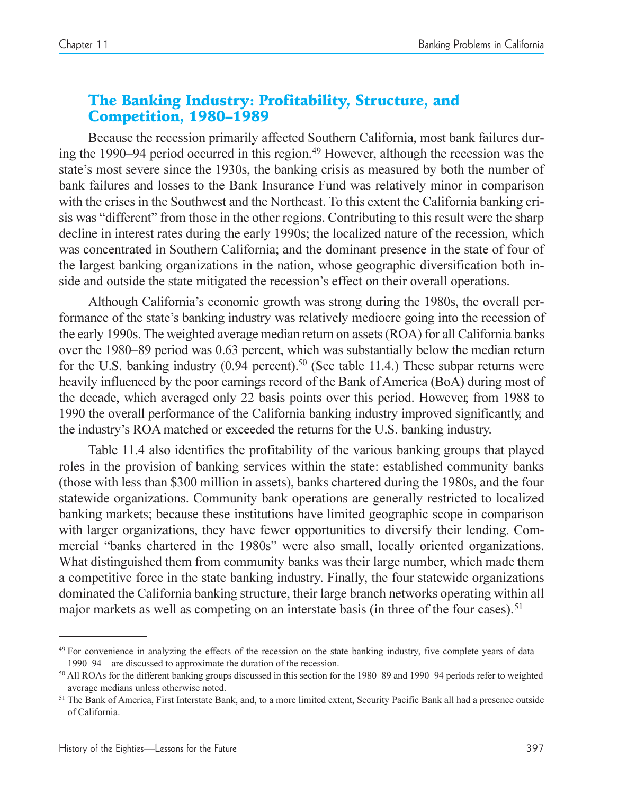# The Banking Industry: Profitability, Structure, and **Competition, 1980-1989**

Because the recession primarily affected Southern California, most bank failures during the 1990–94 period occurred in this region.<sup>49</sup> However, although the recession was the state's most severe since the 1930s, the banking crisis as measured by both the number of bank failures and losses to the Bank Insurance Fund was relatively minor in comparison with the crises in the Southwest and the Northeast. To this extent the California banking crisis was "different" from those in the other regions. Contributing to this result were the sharp decline in interest rates during the early 1990s; the localized nature of the recession, which was concentrated in Southern California; and the dominant presence in the state of four of the largest banking organizations in the nation, whose geographic diversification both inside and outside the state mitigated the recession's effect on their overall operations.

Although California's economic growth was strong during the 1980s, the overall performance of the state's banking industry was relatively mediocre going into the recession of the early 1990s. The weighted average median return on assets (ROA) for all California banks over the 1980–89 period was 0.63 percent, which was substantially below the median return for the U.S. banking industry  $(0.94 \text{ percent})$ .<sup>50</sup> (See table 11.4.) These subpar returns were heavily influenced by the poor earnings record of the Bank of America (BoA) during most of the decade, which averaged only 22 basis points over this period. However, from 1988 to 1990 the overall performance of the California banking industry improved significantly, and the industry's ROA matched or exceeded the returns for the U.S. banking industry.

Table 11.4 also identifies the profitability of the various banking groups that played roles in the provision of banking services within the state: established community banks (those with less than \$300 million in assets), banks chartered during the 1980s, and the four statewide organizations. Community bank operations are generally restricted to localized banking markets; because these institutions have limited geographic scope in comparison with larger organizations, they have fewer opportunities to diversify their lending. Commercial "banks chartered in the 1980s" were also small, locally oriented organizations. What distinguished them from community banks was their large number, which made them a competitive force in the state banking industry. Finally, the four statewide organizations dominated the California banking structure, their large branch networks operating within all major markets as well as competing on an interstate basis (in three of the four cases).<sup>51</sup>

 $49$  For convenience in analyzing the effects of the recession on the state banking industry, five complete years of data— 1990–94—are discussed to approximate the duration of the recession.

 $50$  All ROAs for the different banking groups discussed in this section for the 1980–89 and 1990–94 periods refer to weighted average medians unless otherwise noted.

<sup>&</sup>lt;sup>51</sup> The Bank of America, First Interstate Bank, and, to a more limited extent, Security Pacific Bank all had a presence outside of California.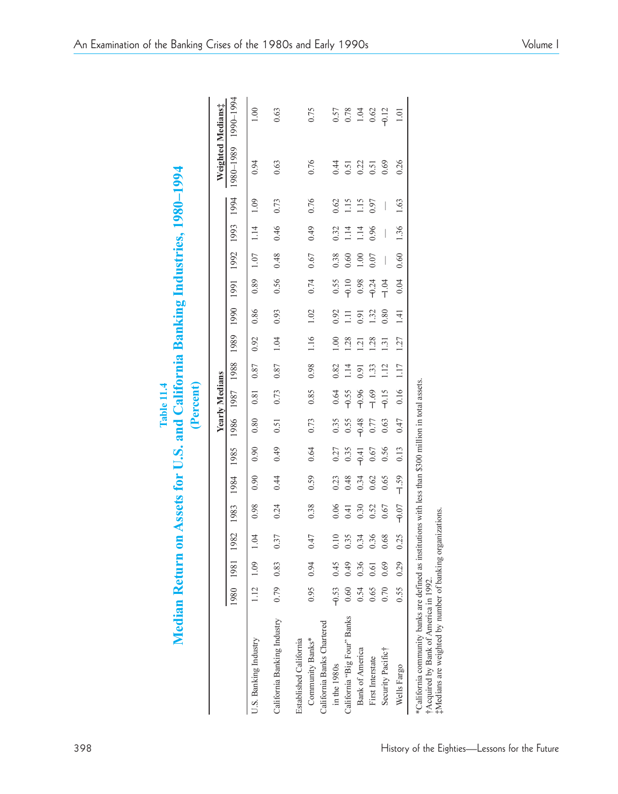|  |  | Volume 1 |  |
|--|--|----------|--|
|--|--|----------|--|

| Table 11.4 | $\mathbf{10}^r$<br>or U.S. and Caliform<br>$\frac{1}{2}$<br>a Asser<br>È |  |
|------------|--------------------------------------------------------------------------|--|
|            |                                                                          |  |

|                                                                                                                                                                                                          |         |      |      |         |         |         |         | <b>Yearly Medians</b> |                 |                 |      |         |           |                |      | Weighted Medians:   |                |
|----------------------------------------------------------------------------------------------------------------------------------------------------------------------------------------------------------|---------|------|------|---------|---------|---------|---------|-----------------------|-----------------|-----------------|------|---------|-----------|----------------|------|---------------------|----------------|
|                                                                                                                                                                                                          | 1980    | 1981 | 1982 | 1983    | 1984    | 1985    |         | 1986 1987 1988        |                 | 1989            | 1990 | 1991    | 1992      | 1993           | 1994 | 1980-1980 1980-1980 |                |
| U.S. Banking Industry                                                                                                                                                                                    | 1.12    | 1.09 | 1.04 | 0.98    | 0.90    | 0.90    | 0.80    | 0.81                  | 0.87            | 0.92            | 0.86 | 0.89    | 1.07      | 1.14           | 1.09 | 0.94                | 0.01           |
| California Banking Industry                                                                                                                                                                              | 0.79    | 0.83 | 0.37 | 0.24    | 0.44    | 0.49    | 0.51    | 0.73                  | 0.87            | 1.04            | 0.93 | 0.56    | 0.48      | 0.46           | 0.73 | 0.63                | 0.63           |
| California Banks Chartered<br>Community Banks*<br>Established California                                                                                                                                 | 0.95    | 0.94 | 0.47 | 0.38    | 0.59    | 0.64    | 0.73    | 0.85                  | 0.98            | 1.16            | 1.02 | 0.74    | 0.67      | 0.49           | 0.76 | 0.76                | 0.75           |
| in the 1980s                                                                                                                                                                                             | $-0.53$ | 0.45 | 0.10 | 0.06    | 0.23    | 0.27    | 0.35    | 0.64                  | 0.82            | $\frac{8}{10}$  | 0.92 | 0.55    | 0.38      | 0.32           | 0.62 | 0.44                | 0.57           |
| California "Big Four" Banks                                                                                                                                                                              | 0.60    | 0.49 | 0.35 | 0.41    | 0.48    | 0.35    | 0.55    | $-0.55$               | $\frac{14}{11}$ | 1.28            | Ξ    | $-0.10$ | 0.60      | $\frac{14}{1}$ | 1.15 | 0.51                | 0.78           |
| <b>Bank of America</b>                                                                                                                                                                                   | 0.54    | 0.36 | 0.34 | 0.30    | 0.34    | $-0.41$ | $-0.48$ | $-0.96$               | 0.91            | $\overline{21}$ | 0.91 | 0.98    | $\approx$ | $\frac{1}{4}$  | STI1 | 0.22                | 1.04           |
| First Interstate                                                                                                                                                                                         | 0.65    | 0.61 | 0.36 | 0.52    | 0.62    | 0.67    | 0.77    | $-1.69$               | 133             | 1.28            | 132  | $-0.24$ | 0.07      | 0.96           | 0.97 | 0.51                | 0.62           |
| Security Pacific†                                                                                                                                                                                        | 0.70    | 0.69 | 0.68 | 0.67    | 0.65    | 0.56    | 0.63    | $-0.15$               | 1.12            | 1.31            | 0.80 | $-1.04$ | I         | I              | I    | 0.69                | $-0.12$        |
| Wells Fargo                                                                                                                                                                                              | 0.55    | 0.29 | 0.25 | $-0.07$ | $-1.59$ | 0.13    | 0.47    | 0.16                  | 1.17            | 1.27            | 1.41 | 0.04    | 0.60      | 1.36           | 1.63 | 0.26                | $\overline{0}$ |
| California community banks are defined as institutions with less than \$300 million in total assets<br>#Medians are weighted by number of banking organizations<br>†Acquired by Bank of America in 1992. |         |      |      |         |         |         |         |                       |                 |                 |      |         |           |                |      |                     |                |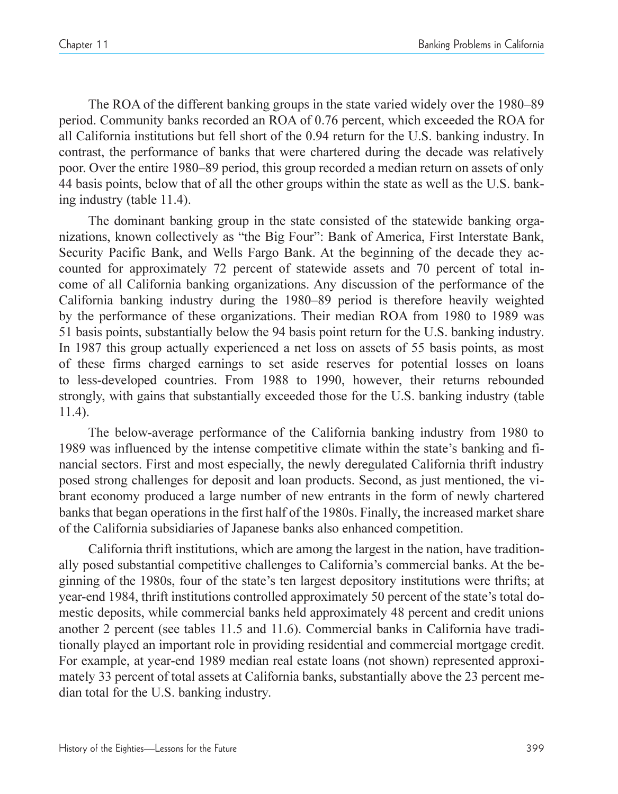The ROA of the different banking groups in the state varied widely over the 1980–89 period. Community banks recorded an ROA of 0.76 percent, which exceeded the ROA for all California institutions but fell short of the 0.94 return for the U.S. banking industry. In contrast, the performance of banks that were chartered during the decade was relatively poor. Over the entire 1980–89 period, this group recorded a median return on assets of only 44 basis points, below that of all the other groups within the state as well as the U.S. banking industry (table 11.4).

The dominant banking group in the state consisted of the statewide banking organizations, known collectively as "the Big Four": Bank of America, First Interstate Bank, Security Pacific Bank, and Wells Fargo Bank. At the beginning of the decade they accounted for approximately 72 percent of statewide assets and 70 percent of total income of all California banking organizations. Any discussion of the performance of the California banking industry during the 1980–89 period is therefore heavily weighted by the performance of these organizations. Their median ROA from 1980 to 1989 was 51 basis points, substantially below the 94 basis point return for the U.S. banking industry. In 1987 this group actually experienced a net loss on assets of 55 basis points, as most of these firms charged earnings to set aside reserves for potential losses on loans to less-developed countries. From 1988 to 1990, however, their returns rebounded strongly, with gains that substantially exceeded those for the U.S. banking industry (table 11.4).

The below-average performance of the California banking industry from 1980 to 1989 was influenced by the intense competitive climate within the state's banking and financial sectors. First and most especially, the newly deregulated California thrift industry posed strong challenges for deposit and loan products. Second, as just mentioned, the vibrant economy produced a large number of new entrants in the form of newly chartered banks that began operations in the first half of the 1980s. Finally, the increased market share of the California subsidiaries of Japanese banks also enhanced competition.

California thrift institutions, which are among the largest in the nation, have traditionally posed substantial competitive challenges to California's commercial banks. At the beginning of the 1980s, four of the state's ten largest depository institutions were thrifts; at year-end 1984, thrift institutions controlled approximately 50 percent of the state's total domestic deposits, while commercial banks held approximately 48 percent and credit unions another 2 percent (see tables 11.5 and 11.6). Commercial banks in California have traditionally played an important role in providing residential and commercial mortgage credit. For example, at year-end 1989 median real estate loans (not shown) represented approximately 33 percent of total assets at California banks, substantially above the 23 percent median total for the U.S. banking industry.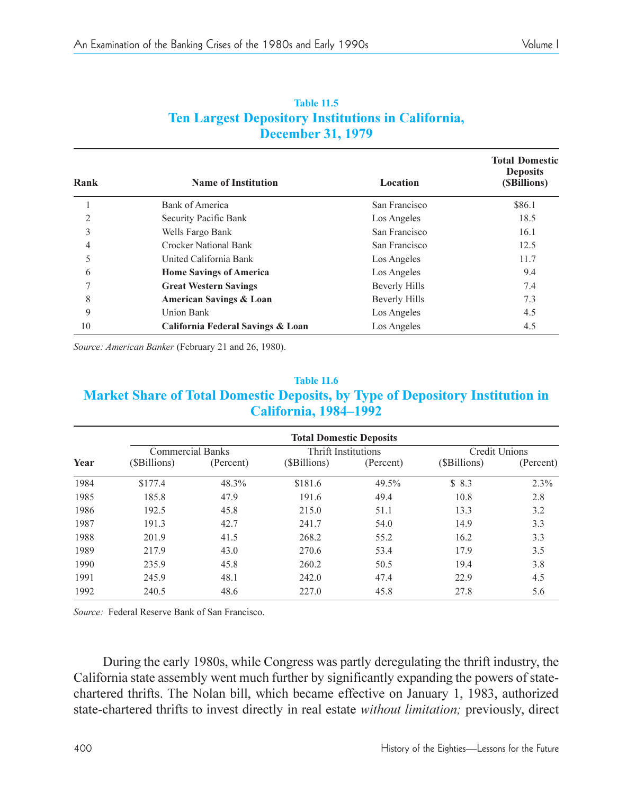| <b>Table 11.5</b>                                         |
|-----------------------------------------------------------|
| <b>Ten Largest Depository Institutions in California,</b> |
| <b>December 31, 1979</b>                                  |

| Rank           | <b>Name of Institution</b>        | Location      | <b>Total Domestic</b><br><b>Deposits</b><br>(SBillions) |
|----------------|-----------------------------------|---------------|---------------------------------------------------------|
|                | Bank of America                   | San Francisco | \$86.1                                                  |
| $\overline{2}$ | Security Pacific Bank             | Los Angeles   | 18.5                                                    |
| 3              | Wells Fargo Bank                  | San Francisco | 16.1                                                    |
| 4              | <b>Crocker National Bank</b>      | San Francisco | 12.5                                                    |
| 5              | United California Bank            | Los Angeles   | 11.7                                                    |
| 6              | <b>Home Savings of America</b>    | Los Angeles   | 9.4                                                     |
|                | <b>Great Western Savings</b>      | Beverly Hills | 7.4                                                     |
| 8              | American Savings & Loan           | Beverly Hills | 7.3                                                     |
| 9              | Union Bank                        | Los Angeles   | 4.5                                                     |
| 10             | California Federal Savings & Loan | Los Angeles   | 4.5                                                     |

*Source: American Banker* (February 21 and 26, 1980).

#### **Table 11.6 Market Share of Total Domestic Deposits, by Type of Depository Institution in California, 1984–1992**

|      | <b>Total Domestic Deposits</b> |           |                     |           |                      |           |  |  |  |  |
|------|--------------------------------|-----------|---------------------|-----------|----------------------|-----------|--|--|--|--|
|      | <b>Commercial Banks</b>        |           | Thrift Institutions |           | <b>Credit Unions</b> |           |  |  |  |  |
| Year | (\$Billions)                   | (Percent) | (\$Billions)        | (Percent) | (\$Billions)         | (Percent) |  |  |  |  |
| 1984 | \$177.4                        | 48.3%     | \$181.6             | 49.5%     | \$8.3                | 2.3%      |  |  |  |  |
| 1985 | 185.8                          | 47.9      | 191.6               | 49.4      | 10.8                 | 2.8       |  |  |  |  |
| 1986 | 192.5                          | 45.8      | 215.0               | 51.1      | 13.3                 | 3.2       |  |  |  |  |
| 1987 | 191.3                          | 42.7      | 241.7               | 54.0      | 14.9                 | 3.3       |  |  |  |  |
| 1988 | 201.9                          | 41.5      | 268.2               | 55.2      | 16.2                 | 3.3       |  |  |  |  |
| 1989 | 217.9                          | 43.0      | 270.6               | 53.4      | 17.9                 | 3.5       |  |  |  |  |
| 1990 | 235.9                          | 45.8      | 260.2               | 50.5      | 19.4                 | 3.8       |  |  |  |  |
| 1991 | 245.9                          | 48.1      | 242.0               | 47.4      | 22.9                 | 4.5       |  |  |  |  |
| 1992 | 240.5                          | 48.6      | 227.0               | 45.8      | 27.8                 | 5.6       |  |  |  |  |

*Source:* Federal Reserve Bank of San Francisco.

During the early 1980s, while Congress was partly deregulating the thrift industry, the California state assembly went much further by significantly expanding the powers of statechartered thrifts. The Nolan bill, which became effective on January 1, 1983, authorized state-chartered thrifts to invest directly in real estate *without limitation;* previously, direct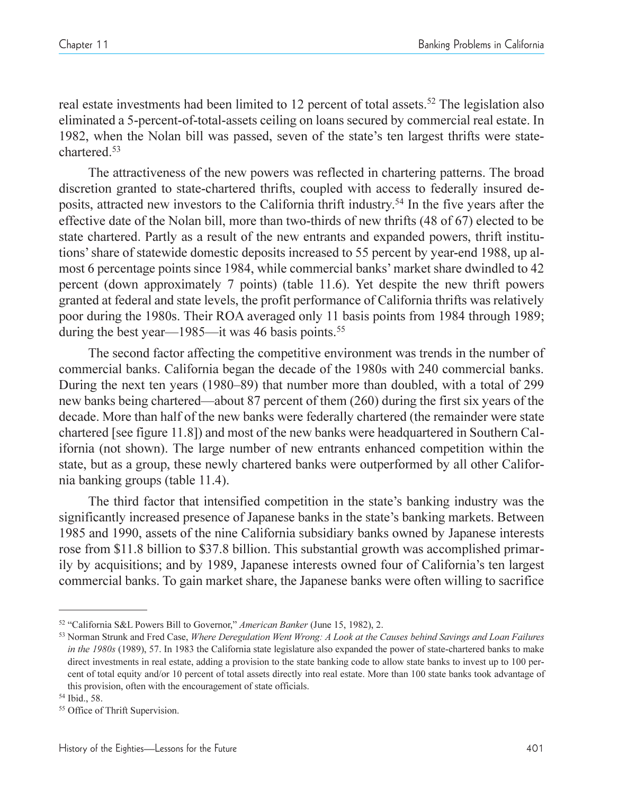real estate investments had been limited to 12 percent of total assets.<sup>52</sup> The legislation also eliminated a 5-percent-of-total-assets ceiling on loans secured by commercial real estate. In 1982, when the Nolan bill was passed, seven of the state's ten largest thrifts were statechartered.53

The attractiveness of the new powers was reflected in chartering patterns. The broad discretion granted to state-chartered thrifts, coupled with access to federally insured deposits, attracted new investors to the California thrift industry. <sup>54</sup> In the five years after the effective date of the Nolan bill, more than two-thirds of new thrifts (48 of 67) elected to be state chartered. Partly as a result of the new entrants and expanded powers, thrift institutions' share of statewide domestic deposits increased to 55 percent by year-end 1988, up almost 6 percentage points since 1984, while commercial banks' market share dwindled to 42 percent (down approximately 7 points) (table 11.6). Yet despite the new thrift powers granted at federal and state levels, the profit performance of California thrifts was relatively poor during the 1980s. Their ROA averaged only 11 basis points from 1984 through 1989; during the best year—1985—it was 46 basis points.<sup>55</sup>

The second factor affecting the competitive environment was trends in the number of commercial banks. California began the decade of the 1980s with 240 commercial banks. During the next ten years (1980–89) that number more than doubled, with a total of 299 new banks being chartered—about 87 percent of them (260) during the first six years of the decade. More than half of the new banks were federally chartered (the remainder were state chartered [see figure 11.8]) and most of the new banks were headquartered in Southern California (not shown). The large number of new entrants enhanced competition within the state, but as a group, these newly chartered banks were outperformed by all other California banking groups (table 11.4).

The third factor that intensified competition in the state's banking industry was the significantly increased presence of Japanese banks in the state's banking markets. Between 1985 and 1990, assets of the nine California subsidiary banks owned by Japanese interests rose from \$11.8 billion to \$37.8 billion. This substantial growth was accomplished primarily by acquisitions; and by 1989, Japanese interests owned four of Californias ten largest commercial banks. To gain market share, the Japanese banks were often willing to sacrifice

<sup>52</sup> California S&L Powers Bill to Governor, *American Banker* (June 15, 1982), 2.

<sup>53</sup> Norman Strunk and Fred Case, *Where Deregulation Went Wrong: A Look at the Causes behind Savings and Loan Failures in the 1980s* (1989), 57. In 1983 the California state legislature also expanded the power of state-chartered banks to make direct investments in real estate, adding a provision to the state banking code to allow state banks to invest up to 100 percent of total equity and/or 10 percent of total assets directly into real estate. More than 100 state banks took advantage of this provision, often with the encouragement of state officials.

<sup>54</sup> Ibid., 58.

<sup>55</sup> Office of Thrift Supervision.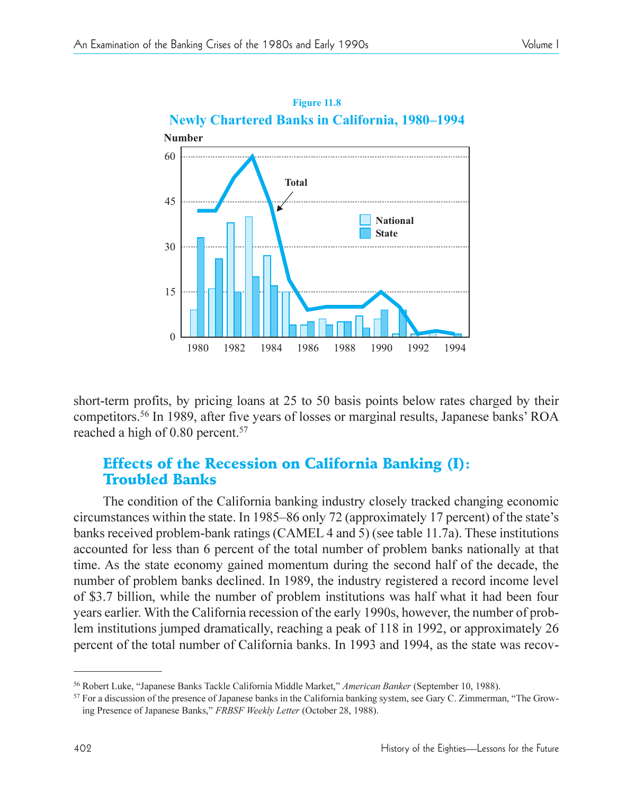

short-term profits, by pricing loans at 25 to 50 basis points below rates charged by their competitors.<sup>56</sup> In 1989, after five years of losses or marginal results, Japanese banks' ROA reached a high of 0.80 percent.<sup>57</sup>

# Effects of the Recession on California Banking (I): Troubled Banks

The condition of the California banking industry closely tracked changing economic circumstances within the state. In 1985–86 only 72 (approximately 17 percent) of the state's banks received problem-bank ratings (CAMEL 4 and 5) (see table 11.7a). These institutions accounted for less than 6 percent of the total number of problem banks nationally at that time. As the state economy gained momentum during the second half of the decade, the number of problem banks declined. In 1989, the industry registered a record income level of \$3.7 billion, while the number of problem institutions was half what it had been four years earlier. With the California recession of the early 1990s, however, the number of problem institutions jumped dramatically, reaching a peak of 118 in 1992, or approximately 26 percent of the total number of California banks. In 1993 and 1994, as the state was recov-

<sup>&</sup>lt;sup>56</sup> Robert Luke, "Japanese Banks Tackle California Middle Market," American Banker (September 10, 1988).

<sup>&</sup>lt;sup>57</sup> For a discussion of the presence of Japanese banks in the California banking system, see Gary C. Zimmerman, "The Growing Presence of Japanese Banks," FRBSF Weekly Letter (October 28, 1988).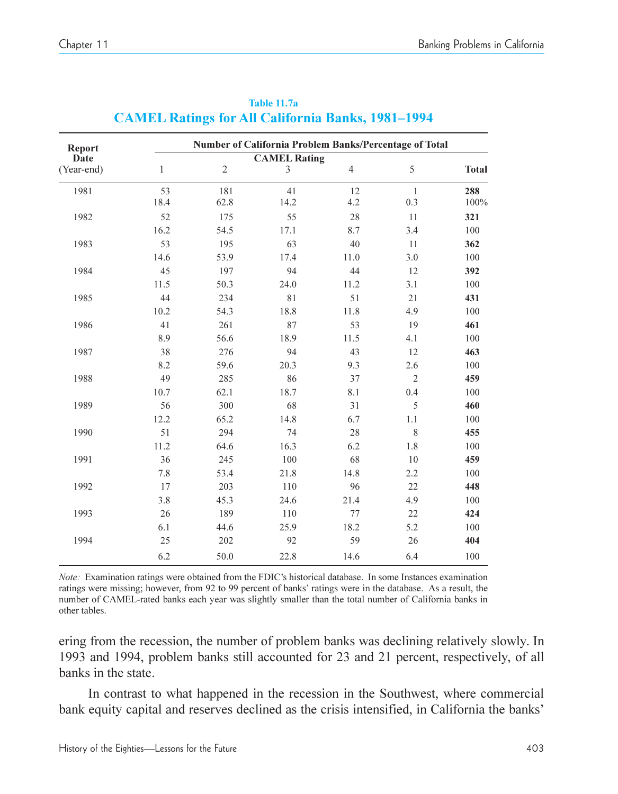| <b>Report</b> |              |                | Number of California Problem Banks/Percentage of Total |                |                |              |
|---------------|--------------|----------------|--------------------------------------------------------|----------------|----------------|--------------|
| Date          |              |                | <b>CAMEL Rating</b>                                    |                |                |              |
| (Year-end)    | $\mathbf{1}$ | $\mathfrak{2}$ | 3                                                      | $\overline{4}$ | 5              | <b>Total</b> |
| 1981          | 53           | 181            | 41                                                     | 12             | $\mathbf{1}$   | 288          |
|               | 18.4         | 62.8           | 14.2                                                   | 4.2            | 0.3            | 100%         |
| 1982          | 52           | 175            | 55                                                     | 28             | 11             | 321          |
|               | 16.2         | 54.5           | 17.1                                                   | 8.7            | 3.4            | 100          |
| 1983          | 53           | 195            | 63                                                     | 40             | 11             | 362          |
|               | 14.6         | 53.9           | 17.4                                                   | 11.0           | 3.0            | 100          |
| 1984          | 45           | 197            | 94                                                     | 44             | 12             | 392          |
|               | 11.5         | 50.3           | 24.0                                                   | 11.2           | 3.1            | 100          |
| 1985          | 44           | 234            | 81                                                     | 51             | 21             | 431          |
|               | 10.2         | 54.3           | 18.8                                                   | 11.8           | 4.9            | 100          |
| 1986          | 41           | 261            | 87                                                     | 53             | 19             | 461          |
|               | 8.9          | 56.6           | 18.9                                                   | 11.5           | 4.1            | 100          |
| 1987          | 38           | 276            | 94                                                     | 43             | 12             | 463          |
|               | 8.2          | 59.6           | 20.3                                                   | 9.3            | 2.6            | 100          |
| 1988          | 49           | 285            | 86                                                     | 37             | $\overline{2}$ | 459          |
|               | 10.7         | 62.1           | 18.7                                                   | 8.1            | 0.4            | 100          |
| 1989          | 56           | 300            | 68                                                     | 31             | 5              | 460          |
|               | 12.2         | 65.2           | 14.8                                                   | 6.7            | 1.1            | 100          |
| 1990          | 51           | 294            | 74                                                     | 28             | 8              | 455          |
|               | 11.2         | 64.6           | 16.3                                                   | 6.2            | 1.8            | 100          |
| 1991          | 36           | 245            | 100                                                    | 68             | 10             | 459          |
|               | 7.8          | 53.4           | 21.8                                                   | 14.8           | 2.2            | 100          |
| 1992          | 17           | 203            | 110                                                    | 96             | 22             | 448          |
|               | 3.8          | 45.3           | 24.6                                                   | 21.4           | 4.9            | 100          |
| 1993          | 26           | 189            | 110                                                    | 77             | 22             | 424          |
|               | 6.1          | 44.6           | 25.9                                                   | 18.2           | 5.2            | 100          |
| 1994          | 25           | 202            | 92                                                     | 59             | 26             | 404          |
|               | 6.2          | 50.0           | 22.8                                                   | 14.6           | 6.4            | 100          |

#### **Table 11.7a CAMEL Ratings for All California Banks, 1981-1994**

*Note:* Examination ratings were obtained from the FDIC's historical database. In some Instances examination ratings were missing; however, from 92 to 99 percent of banks' ratings were in the database. As a result, the number of CAMEL-rated banks each year was slightly smaller than the total number of California banks in other tables.

ering from the recession, the number of problem banks was declining relatively slowly. In 1993 and 1994, problem banks still accounted for 23 and 21 percent, respectively, of all banks in the state.

In contrast to what happened in the recession in the Southwest, where commercial bank equity capital and reserves declined as the crisis intensified, in California the banks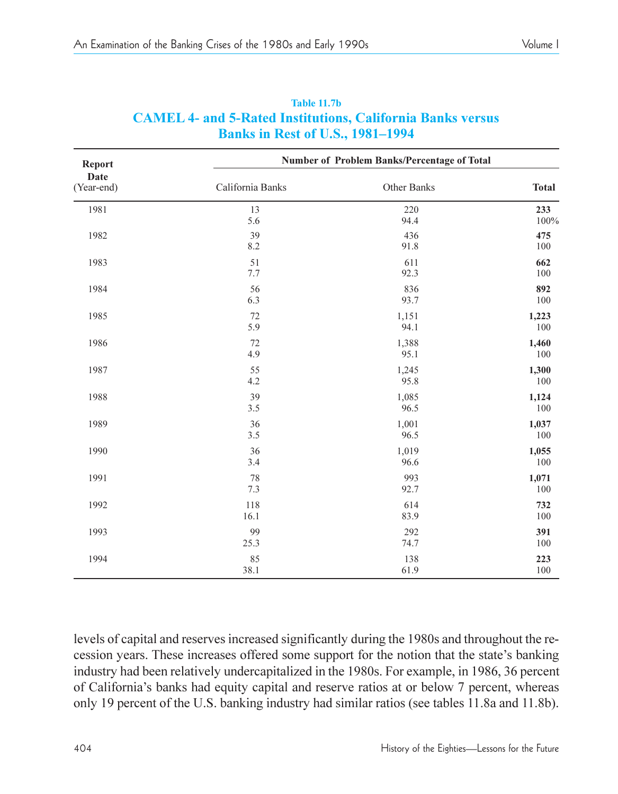| Report             | Number of Problem Banks/Percentage of Total |             |                             |  |  |  |  |
|--------------------|---------------------------------------------|-------------|-----------------------------|--|--|--|--|
| Date<br>(Year-end) | California Banks                            | Other Banks | <b>Total</b><br>233<br>100% |  |  |  |  |
| 1981               | 13<br>5.6                                   | 220<br>94.4 |                             |  |  |  |  |
| 1982               | 39                                          | 436         | 475                         |  |  |  |  |
|                    | 8.2                                         | 91.8        | 100                         |  |  |  |  |
| 1983               | 51                                          | 611         | 662                         |  |  |  |  |
|                    | 7.7                                         | 92.3        | 100                         |  |  |  |  |
| 1984               | 56                                          | 836         | 892                         |  |  |  |  |
|                    | 6.3                                         | 93.7        | 100                         |  |  |  |  |
| 1985               | 72                                          | 1,151       | 1,223                       |  |  |  |  |
|                    | 5.9                                         | 94.1        | 100                         |  |  |  |  |
| 1986               | 72                                          | 1,388       | 1,460                       |  |  |  |  |
|                    | 4.9                                         | 95.1        | 100                         |  |  |  |  |
| 1987               | 55                                          | 1,245       | 1,300                       |  |  |  |  |
|                    | 4.2                                         | 95.8        | 100                         |  |  |  |  |
| 1988               | 39                                          | 1,085       | 1,124                       |  |  |  |  |
|                    | 3.5                                         | 96.5        | 100                         |  |  |  |  |
| 1989               | 36                                          | 1,001       | 1,037                       |  |  |  |  |
|                    | 3.5                                         | 96.5        | 100                         |  |  |  |  |
| 1990               | 36                                          | 1,019       | 1,055                       |  |  |  |  |
|                    | 3.4                                         | 96.6        | 100                         |  |  |  |  |
| 1991               | 78                                          | 993         | 1,071                       |  |  |  |  |
|                    | 7.3                                         | 92.7        | 100                         |  |  |  |  |
| 1992               | 118                                         | 614         | 732                         |  |  |  |  |
|                    | 16.1                                        | 83.9        | 100                         |  |  |  |  |
| 1993               | 99                                          | 292         | 391                         |  |  |  |  |
|                    | 25.3                                        | 74.7        | 100                         |  |  |  |  |
| 1994               | 85                                          | 138         | 223                         |  |  |  |  |
|                    | 38.1                                        | 61.9        | 100                         |  |  |  |  |

#### **Table 11.7b CAMEL 4- and 5-Rated Institutions, California Banks versus Banks in Rest of U.S., 1981-1994**

levels of capital and reserves increased significantly during the 1980s and throughout the recession years. These increases offered some support for the notion that the state's banking industry had been relatively undercapitalized in the 1980s. For example, in 1986, 36 percent of California's banks had equity capital and reserve ratios at or below 7 percent, whereas only 19 percent of the U.S. banking industry had similar ratios (see tables 11.8a and 11.8b).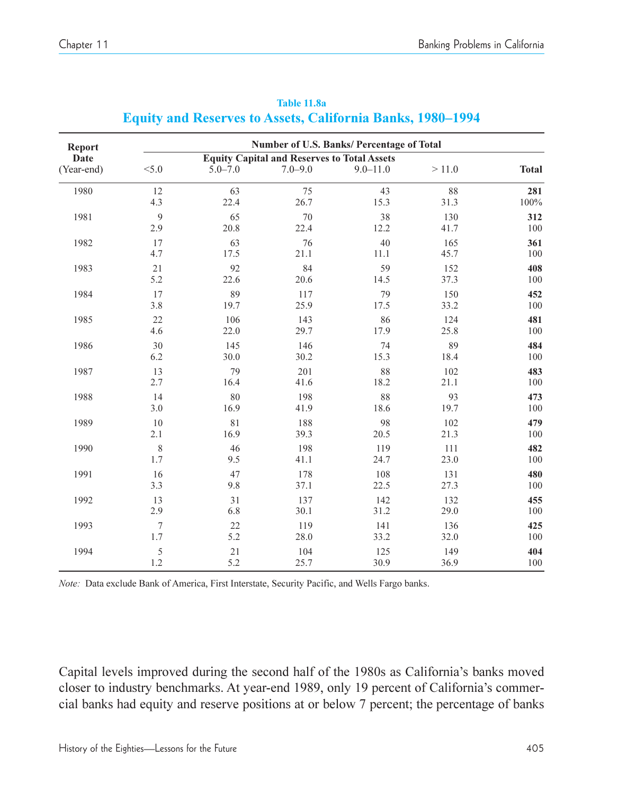| Report     | Number of U.S. Banks/ Percentage of Total          |             |             |              |       |              |  |  |
|------------|----------------------------------------------------|-------------|-------------|--------------|-------|--------------|--|--|
| Date       | <b>Equity Capital and Reserves to Total Assets</b> |             |             |              |       |              |  |  |
| (Year-end) | < 5.0                                              | $5.0 - 7.0$ | $7.0 - 9.0$ | $9.0 - 11.0$ | >11.0 | <b>Total</b> |  |  |
| 1980       | 12                                                 | 63          | 75          | 43           | 88    | 281          |  |  |
|            | 4.3                                                | 22.4        | 26.7        | 15.3         | 31.3  | $100\%$      |  |  |
| 1981       | 9                                                  | 65          | 70          | 38           | 130   | 312          |  |  |
|            | 2.9                                                | 20.8        | 22.4        | 12.2         | 41.7  | 100          |  |  |
| 1982       | 17                                                 | 63          | 76          | 40           | 165   | 361          |  |  |
|            | 4.7                                                | 17.5        | 21.1        | 11.1         | 45.7  | 100          |  |  |
| 1983       | 21                                                 | 92          | 84          | 59           | 152   | 408          |  |  |
|            | 5.2                                                | 22.6        | 20.6        | 14.5         | 37.3  | 100          |  |  |
| 1984       | 17                                                 | 89          | 117         | 79           | 150   | 452          |  |  |
|            | 3.8                                                | 19.7        | 25.9        | 17.5         | 33.2  | 100          |  |  |
| 1985       | 22                                                 | 106         | 143         | 86           | 124   | 481          |  |  |
|            | 4.6                                                | 22.0        | 29.7        | 17.9         | 25.8  | 100          |  |  |
| 1986       | 30                                                 | 145         | 146         | 74           | 89    | 484          |  |  |
|            | 6.2                                                | 30.0        | 30.2        | 15.3         | 18.4  | 100          |  |  |
| 1987       | 13                                                 | 79          | 201         | 88           | 102   | 483          |  |  |
|            | 2.7                                                | 16.4        | 41.6        | 18.2         | 21.1  | 100          |  |  |
| 1988       | 14                                                 | 80          | 198         | 88           | 93    | 473          |  |  |
|            | 3.0                                                | 16.9        | 41.9        | 18.6         | 19.7  | 100          |  |  |
| 1989       | 10                                                 | 81          | 188         | 98           | 102   | 479          |  |  |
|            | 2.1                                                | 16.9        | 39.3        | 20.5         | 21.3  | 100          |  |  |
| 1990       | $\,$ 8 $\,$                                        | 46          | 198         | 119          | 111   | 482          |  |  |
|            | 1.7                                                | 9.5         | 41.1        | 24.7         | 23.0  | 100          |  |  |
| 1991       | 16                                                 | 47          | 178         | 108          | 131   | 480          |  |  |
|            | 3.3                                                | 9.8         | 37.1        | 22.5         | 27.3  | 100          |  |  |
| 1992       | 13                                                 | 31          | 137         | 142          | 132   | 455          |  |  |
|            | 2.9                                                | 6.8         | 30.1        | 31.2         | 29.0  | 100          |  |  |
| 1993       | 7                                                  | 22          | 119         | 141          | 136   | 425          |  |  |
|            | 1.7                                                | 5.2         | 28.0        | 33.2         | 32.0  | 100          |  |  |
| 1994       | 5                                                  | 21          | 104         | 125          | 149   | 404          |  |  |
|            | 1.2                                                | 5.2         | 25.7        | 30.9         | 36.9  | 100          |  |  |

**Table 11.8a Equity and Reserves to Assets, California Banks, 1980-1994** 

*Note:* Data exclude Bank of America, First Interstate, Security Pacific, and Wells Fargo banks.

Capital levels improved during the second half of the 1980s as California's banks moved closer to industry benchmarks. At year-end 1989, only 19 percent of California's commercial banks had equity and reserve positions at or below 7 percent; the percentage of banks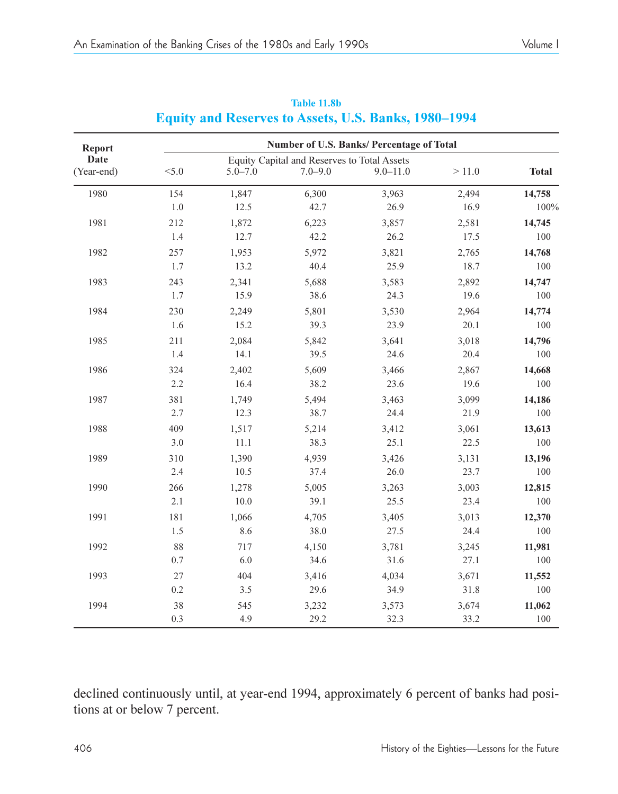| Report     | Number of U.S. Banks/ Percentage of Total   |             |             |              |       |              |  |  |
|------------|---------------------------------------------|-------------|-------------|--------------|-------|--------------|--|--|
| Date       | Equity Capital and Reserves to Total Assets |             |             |              |       |              |  |  |
| (Year-end) | < 5.0                                       | $5.0 - 7.0$ | $7.0 - 9.0$ | $9.0 - 11.0$ | >11.0 | <b>Total</b> |  |  |
| 1980       | 154                                         | 1,847       | 6,300       | 3,963        | 2,494 | 14,758       |  |  |
|            | 1.0                                         | 12.5        | 42.7        | 26.9         | 16.9  | 100%         |  |  |
| 1981       | 212                                         | 1,872       | 6,223       | 3,857        | 2,581 | 14,745       |  |  |
|            | 1.4                                         | 12.7        | 42.2        | 26.2         | 17.5  | 100          |  |  |
| 1982       | 257                                         | 1,953       | 5,972       | 3,821        | 2,765 | 14,768       |  |  |
|            | 1.7                                         | 13.2        | 40.4        | 25.9         | 18.7  | 100          |  |  |
| 1983       | 243                                         | 2,341       | 5,688       | 3,583        | 2,892 | 14,747       |  |  |
|            | 1.7                                         | 15.9        | 38.6        | 24.3         | 19.6  | 100          |  |  |
| 1984       | 230                                         | 2,249       | 5,801       | 3,530        | 2,964 | 14,774       |  |  |
|            | 1.6                                         | 15.2        | 39.3        | 23.9         | 20.1  | 100          |  |  |
| 1985       | 211                                         | 2,084       | 5,842       | 3,641        | 3,018 | 14,796       |  |  |
|            | 1.4                                         | 14.1        | 39.5        | 24.6         | 20.4  | 100          |  |  |
| 1986       | 324                                         | 2,402       | 5,609       | 3,466        | 2,867 | 14,668       |  |  |
|            | 2.2                                         | 16.4        | 38.2        | 23.6         | 19.6  | 100          |  |  |
| 1987       | 381                                         | 1,749       | 5,494       | 3,463        | 3,099 | 14,186       |  |  |
|            | 2.7                                         | 12.3        | 38.7        | 24.4         | 21.9  | 100          |  |  |
| 1988       | 409                                         | 1,517       | 5,214       | 3,412        | 3,061 | 13,613       |  |  |
|            | 3.0                                         | 11.1        | 38.3        | 25.1         | 22.5  | 100          |  |  |
| 1989       | 310                                         | 1,390       | 4,939       | 3,426        | 3,131 | 13,196       |  |  |
|            | 2.4                                         | 10.5        | 37.4        | 26.0         | 23.7  | 100          |  |  |
| 1990       | 266                                         | 1,278       | 5,005       | 3,263        | 3,003 | 12,815       |  |  |
|            | 2.1                                         | 10.0        | 39.1        | 25.5         | 23.4  | 100          |  |  |
| 1991       | 181                                         | 1,066       | 4,705       | 3,405        | 3,013 | 12,370       |  |  |
|            | 1.5                                         | 8.6         | 38.0        | 27.5         | 24.4  | 100          |  |  |
| 1992       | 88                                          | 717         | 4,150       | 3,781        | 3,245 | 11,981       |  |  |
|            | 0.7                                         | 6.0         | 34.6        | 31.6         | 27.1  | 100          |  |  |
| 1993       | 27                                          | 404         | 3,416       | 4,034        | 3,671 | 11,552       |  |  |
|            | 0.2                                         | 3.5         | 29.6        | 34.9         | 31.8  | 100          |  |  |
| 1994       | 38                                          | 545         | 3,232       | 3,573        | 3,674 | 11,062       |  |  |
|            | 0.3                                         | 4.9         | 29.2        | 32.3         | 33.2  | 100          |  |  |

#### **Table 11.8b Equity and Reserves to Assets, U.S. Banks, 1980-1994**

declined continuously until, at year-end 1994, approximately 6 percent of banks had positions at or below 7 percent.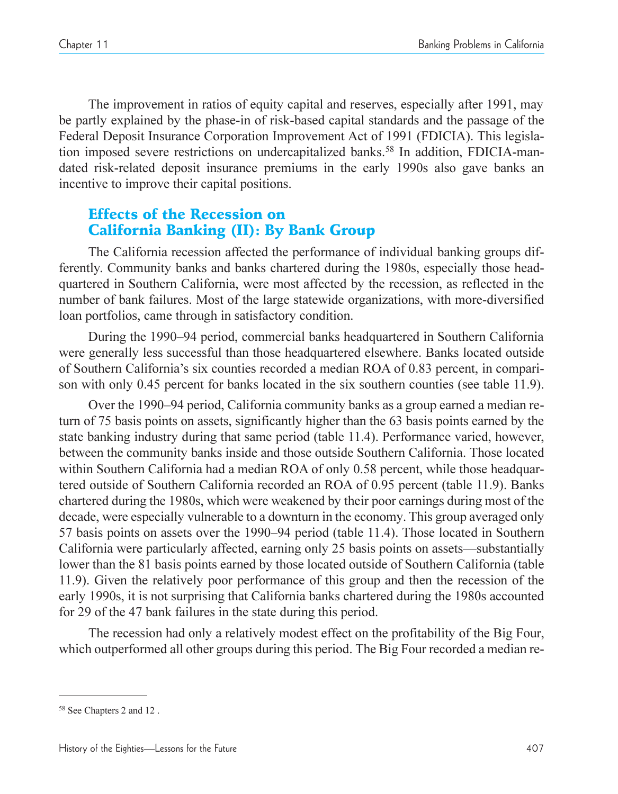The improvement in ratios of equity capital and reserves, especially after 1991, may be partly explained by the phase-in of risk-based capital standards and the passage of the Federal Deposit Insurance Corporation Improvement Act of 1991 (FDICIA). This legislation imposed severe restrictions on undercapitalized banks.<sup>58</sup> In addition, FDICIA-mandated risk-related deposit insurance premiums in the early 1990s also gave banks an incentive to improve their capital positions.

# Effects of the Recession on California Banking (II): By Bank Group

The California recession affected the performance of individual banking groups differently. Community banks and banks chartered during the 1980s, especially those headquartered in Southern California, were most affected by the recession, as reflected in the number of bank failures. Most of the large statewide organizations, with more-diversified loan portfolios, came through in satisfactory condition.

During the 1990–94 period, commercial banks headquartered in Southern California were generally less successful than those headquartered elsewhere. Banks located outside of Southern California's six counties recorded a median ROA of 0.83 percent, in comparison with only 0.45 percent for banks located in the six southern counties (see table 11.9).

Over the 1990–94 period, California community banks as a group earned a median return of 75 basis points on assets, significantly higher than the 63 basis points earned by the state banking industry during that same period (table 11.4). Performance varied, however, between the community banks inside and those outside Southern California. Those located within Southern California had a median ROA of only 0.58 percent, while those headquartered outside of Southern California recorded an ROA of 0.95 percent (table 11.9). Banks chartered during the 1980s, which were weakened by their poor earnings during most of the decade, were especially vulnerable to a downturn in the economy. This group averaged only 57 basis points on assets over the 1990–94 period (table 11.4). Those located in Southern California were particularly affected, earning only 25 basis points on assets—substantially lower than the 81 basis points earned by those located outside of Southern California (table 11.9). Given the relatively poor performance of this group and then the recession of the early 1990s, it is not surprising that California banks chartered during the 1980s accounted for 29 of the 47 bank failures in the state during this period.

The recession had only a relatively modest effect on the profitability of the Big Four, which outperformed all other groups during this period. The Big Four recorded a median re-

<sup>58</sup> See Chapters 2 and 12 .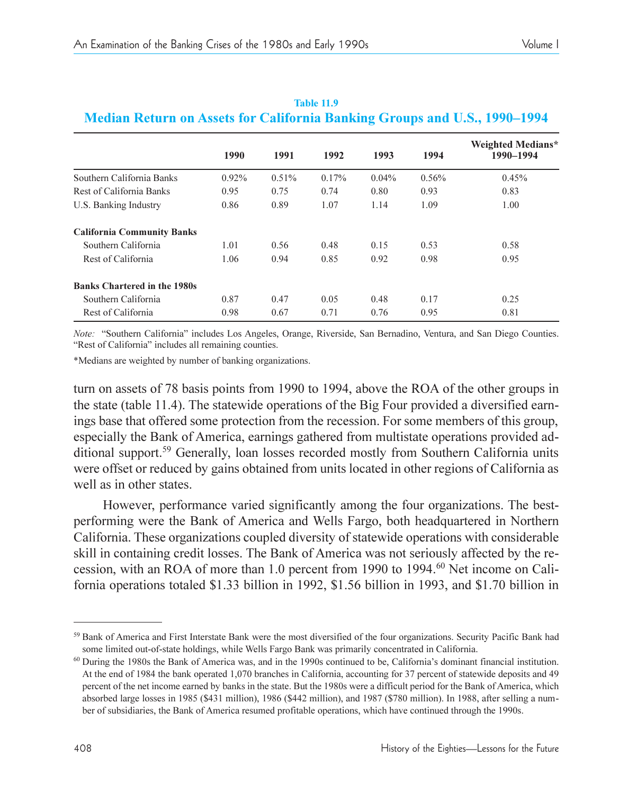|                                     | 1990     | 1991     | 1992  | 1993     | 1994  | Weighted Medians*<br>1990-1994 |
|-------------------------------------|----------|----------|-------|----------|-------|--------------------------------|
| Southern California Banks           | $0.92\%$ | $0.51\%$ | 0.17% | $0.04\%$ | 0.56% | 0.45%                          |
| Rest of California Banks            | 0.95     | 0.75     | 0.74  | 0.80     | 0.93  | 0.83                           |
| U.S. Banking Industry               | 0.86     | 0.89     | 1.07  | 1.14     | 1.09  | 1.00                           |
| <b>California Community Banks</b>   |          |          |       |          |       |                                |
| Southern California                 | 1.01     | 0.56     | 0.48  | 0.15     | 0.53  | 0.58                           |
| Rest of California                  | 1.06     | 0.94     | 0.85  | 0.92     | 0.98  | 0.95                           |
| <b>Banks Chartered in the 1980s</b> |          |          |       |          |       |                                |
| Southern California                 | 0.87     | 0.47     | 0.05  | 0.48     | 0.17  | 0.25                           |
| Rest of California                  | 0.98     | 0.67     | 0.71  | 0.76     | 0.95  | 0.81                           |

#### **Table 11.9 Median Return on Assets for California Banking Groups and U.S., 1990–1994**

*Note:* "Southern California" includes Los Angeles, Orange, Riverside, San Bernadino, Ventura, and San Diego Counties. "Rest of California" includes all remaining counties.

\*Medians are weighted by number of banking organizations.

turn on assets of 78 basis points from 1990 to 1994, above the ROA of the other groups in the state (table 11.4). The statewide operations of the Big Four provided a diversified earnings base that offered some protection from the recession. For some members of this group, especially the Bank of America, earnings gathered from multistate operations provided additional support.59 Generally, loan losses recorded mostly from Southern California units were offset or reduced by gains obtained from units located in other regions of California as well as in other states.

However, performance varied significantly among the four organizations. The bestperforming were the Bank of America and Wells Fargo, both headquartered in Northern California. These organizations coupled diversity of statewide operations with considerable skill in containing credit losses. The Bank of America was not seriously affected by the recession, with an ROA of more than 1.0 percent from 1990 to 1994.60 Net income on California operations totaled \$1.33 billion in 1992, \$1.56 billion in 1993, and \$1.70 billion in

<sup>&</sup>lt;sup>59</sup> Bank of America and First Interstate Bank were the most diversified of the four organizations. Security Pacific Bank had some limited out-of-state holdings, while Wells Fargo Bank was primarily concentrated in California.

 $60$  During the 1980s the Bank of America was, and in the 1990s continued to be, California's dominant financial institution. At the end of 1984 the bank operated 1,070 branches in California, accounting for 37 percent of statewide deposits and 49 percent of the net income earned by banks in the state. But the 1980s were a difficult period for the Bank of America, which absorbed large losses in 1985 (\$431 million), 1986 (\$442 million), and 1987 (\$780 million). In 1988, after selling a number of subsidiaries, the Bank of America resumed profitable operations, which have continued through the 1990s.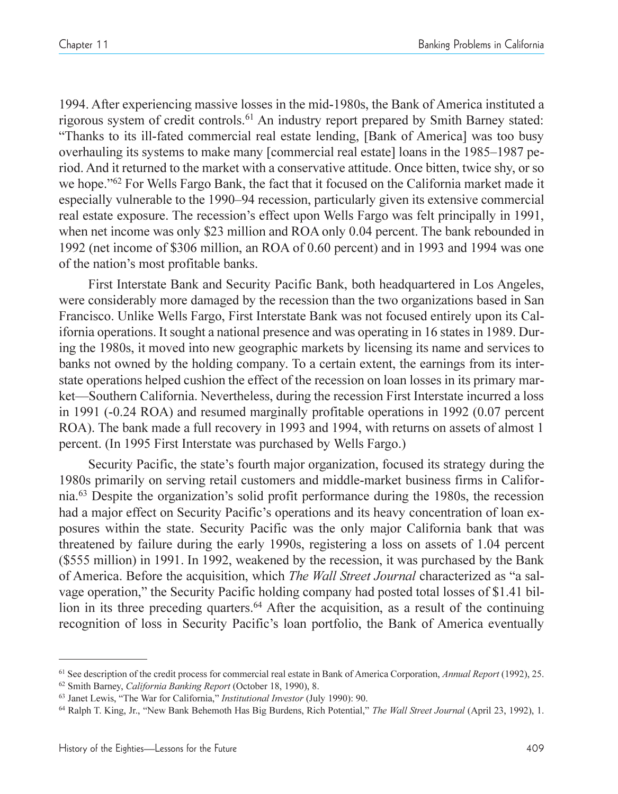1994. After experiencing massive losses in the mid-1980s, the Bank of America instituted a rigorous system of credit controls.<sup>61</sup> An industry report prepared by Smith Barney stated: Thanks to its ill-fated commercial real estate lending, [Bank of America] was too busy overhauling its systems to make many [commercial real estate] loans in the 1985–1987 period. And it returned to the market with a conservative attitude. Once bitten, twice shy, or so we hope.<sup>162</sup> For Wells Fargo Bank, the fact that it focused on the California market made it especially vulnerable to the 1990–94 recession, particularly given its extensive commercial real estate exposure. The recession's effect upon Wells Fargo was felt principally in 1991, when net income was only \$23 million and ROA only 0.04 percent. The bank rebounded in 1992 (net income of \$306 million, an ROA of 0.60 percent) and in 1993 and 1994 was one of the nation's most profitable banks.

First Interstate Bank and Security Pacific Bank, both headquartered in Los Angeles, were considerably more damaged by the recession than the two organizations based in San Francisco. Unlike Wells Fargo, First Interstate Bank was not focused entirely upon its California operations. It sought a national presence and was operating in 16 states in 1989. During the 1980s, it moved into new geographic markets by licensing its name and services to banks not owned by the holding company. To a certain extent, the earnings from its interstate operations helped cushion the effect of the recession on loan losses in its primary market—Southern California. Nevertheless, during the recession First Interstate incurred a loss in 1991 (-0.24 ROA) and resumed marginally profitable operations in 1992 (0.07 percent ROA). The bank made a full recovery in 1993 and 1994, with returns on assets of almost 1 percent. (In 1995 First Interstate was purchased by Wells Fargo.)

Security Pacific, the state's fourth major organization, focused its strategy during the 1980s primarily on serving retail customers and middle-market business firms in California.<sup>63</sup> Despite the organization's solid profit performance during the 1980s, the recession had a major effect on Security Pacific's operations and its heavy concentration of loan exposures within the state. Security Pacific was the only major California bank that was threatened by failure during the early 1990s, registering a loss on assets of 1.04 percent (\$555 million) in 1991. In 1992, weakened by the recession, it was purchased by the Bank of America. Before the acquisition, which *The Wall Street Journal* characterized as "a salvage operation," the Security Pacific holding company had posted total losses of \$1.41 billion in its three preceding quarters.<sup>64</sup> After the acquisition, as a result of the continuing recognition of loss in Security Pacific's loan portfolio, the Bank of America eventually

<sup>61</sup> See description of the credit process for commercial real estate in Bank of America Corporation, *Annual Report* (1992), 25. <sup>62</sup> Smith Barney, *California Banking Report* (October 18, 1990), 8.

<sup>&</sup>lt;sup>63</sup> Janet Lewis, "The War for California," *Institutional Investor* (July 1990): 90.

<sup>&</sup>lt;sup>64</sup> Ralph T. King, Jr., "New Bank Behemoth Has Big Burdens, Rich Potential," The Wall Street Journal (April 23, 1992), 1.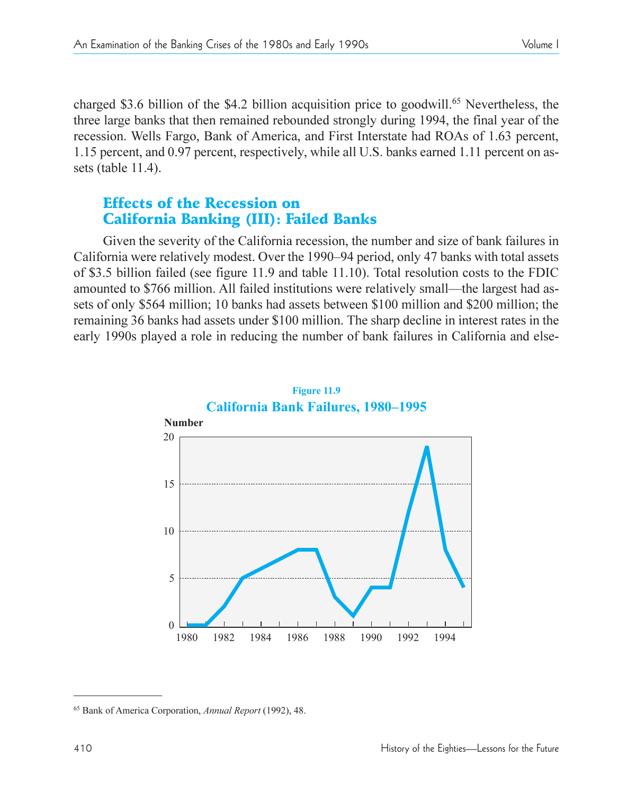charged \$3.6 billion of the \$4.2 billion acquisition price to goodwill.<sup>65</sup> Nevertheless, the three large banks that then remained rebounded strongly during 1994, the final year of the recession. Wells Fargo, Bank of America, and First Interstate had ROAs of 1.63 percent, 1.15 percent, and 0.97 percent, respectively, while all U.S. banks earned 1.11 percent on assets (table 11.4).

# Effects of the Recession on California Banking (III): Failed Banks

Given the severity of the California recession, the number and size of bank failures in California were relatively modest. Over the 1990–94 period, only 47 banks with total assets of \$3.5 billion failed (see figure 11.9 and table 11.10). Total resolution costs to the FDIC amounted to \$766 million. All failed institutions were relatively small—the largest had assets of only \$564 million; 10 banks had assets between \$100 million and \$200 million; the remaining 36 banks had assets under \$100 million. The sharp decline in interest rates in the early 1990s played a role in reducing the number of bank failures in California and else-



<sup>65</sup> Bank of America Corporation, *Annual Report* (1992), 48.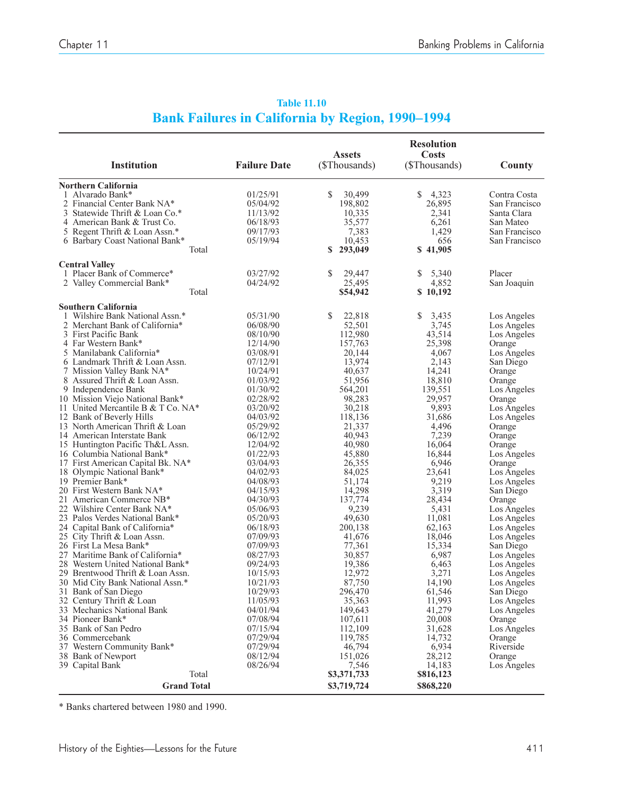|                                                | <b>Resolution</b><br>Costs<br><b>Assets</b> |                    |                  |                                |  |
|------------------------------------------------|---------------------------------------------|--------------------|------------------|--------------------------------|--|
| <b>Institution</b>                             | <b>Failure Date</b>                         | (\$Thousands)      | (\$Thousands)    | County                         |  |
| <b>Northern California</b>                     |                                             |                    |                  |                                |  |
| 1 Alvarado Bank*                               | 01/25/91                                    | \$<br>30,499       | 4,323<br>\$      | Contra Costa                   |  |
| 2 Financial Center Bank NA*                    | 05/04/92                                    | 198,802            | 26,895           | San Francisco                  |  |
| 3 Statewide Thrift & Loan Co.*                 | 11/13/92                                    | 10,335             | 2,341            | Santa Clara                    |  |
| 4 American Bank & Trust Co.                    | 06/18/93                                    | 35,577             | 6,261            | San Mateo                      |  |
| 5 Regent Thrift & Loan Assn.*                  | 09/17/93<br>05/19/94                        | 7,383<br>10.453    | 1,429<br>656     | San Francisco<br>San Francisco |  |
| 6 Barbary Coast National Bank*<br>Total        |                                             | S<br>293,049       | \$41,905         |                                |  |
| <b>Central Valley</b>                          |                                             |                    |                  |                                |  |
| 1 Placer Bank of Commerce*                     | 03/27/92                                    | \$<br>29,447       | 5,340<br>\$      | Placer                         |  |
| 2 Valley Commercial Bank*                      | 04/24/92                                    | 25,495             | 4,852            | San Joaquin                    |  |
| Total                                          |                                             | \$54,942           | \$10,192         |                                |  |
| <b>Southern California</b>                     |                                             |                    |                  |                                |  |
| 1 Wilshire Bank National Assn.*                | 05/31/90                                    | \$<br>22,818       | 3,435<br>\$      | Los Angeles                    |  |
| 2 Merchant Bank of California*                 | 06/08/90                                    | 52,501             | 3,745            | Los Angeles                    |  |
| 3 First Pacific Bank<br>4 Far Western Bank*    | 08/10/90<br>12/14/90                        | 112,980<br>157,763 | 43,514<br>25,398 | Los Angeles<br>Orange          |  |
| 5 Manilabank California*                       | 03/08/91                                    | 20,144             | 4,067            | Los Angeles                    |  |
| 6 Landmark Thrift & Loan Assn.                 | 07/12/91                                    | 13,974             | 2,143            | San Diego                      |  |
| 7 Mission Valley Bank NA*                      | 10/24/91                                    | 40,637             | 14,241           | Orange                         |  |
| 8 Assured Thrift & Loan Assn.                  | 01/03/92                                    | 51,956             | 18,810           | Orange                         |  |
| 9 Independence Bank                            | 01/30/92                                    | 564,201            | 139,551          | Los Angeles                    |  |
| 10 Mission Viejo National Bank*                | 02/28/92                                    | 98,283             | 29,957           | Orange                         |  |
| 11 United Mercantile B & T Co. NA*             | 03/20/92                                    | 30.218             | 9,893            | Los Angeles                    |  |
| 12 Bank of Beverly Hills                       | 04/03/92                                    | 118,136            | 31,686           | Los Angeles                    |  |
| 13 North American Thrift & Loan                | 05/29/92                                    | 21,337             | 4,496            | Orange                         |  |
| 14 American Interstate Bank                    | 06/12/92                                    | 40,943             | 7,239            | Orange                         |  |
| 15 Huntington Pacific Th&L Assn.               | 12/04/92                                    | 40,980             | 16,064           | Orange                         |  |
| 16 Columbia National Bank*                     | 01/22/93                                    | 45,880             | 16,844           | Los Angeles                    |  |
| 17 First American Capital Bk. NA*              | 03/04/93                                    | 26,355             | 6,946            | Orange                         |  |
| 18 Olympic National Bank*<br>19 Premier Bank*  | 04/02/93<br>04/08/93                        | 84,025             | 23,641<br>9,219  | Los Angeles                    |  |
| 20 First Western Bank NA*                      | 04/15/93                                    | 51,174<br>14,298   | 3,319            | Los Angeles<br>San Diego       |  |
| 21 American Commerce NB*                       | 04/30/93                                    | 137,774            | 28,434           | Orange                         |  |
| 22 Wilshire Center Bank NA*                    | 05/06/93                                    | 9,239              | 5,431            | Los Angeles                    |  |
| 23 Palos Verdes National Bank*                 | 05/20/93                                    | 49.630             | 11,081           | Los Angeles                    |  |
| 24 Capital Bank of California*                 | 06/18/93                                    | 200,138            | 62,163           | Los Angeles                    |  |
| 25 City Thrift & Loan Assn.                    | 07/09/93                                    | 41,676             | 18,046           | Los Angeles                    |  |
| 26 First La Mesa Bank*                         | 07/09/93                                    | 77,361             | 15,334           | San Diego                      |  |
| 27 Maritime Bank of California*                | 08/27/93                                    | 30,857             | 6,987            | Los Angeles                    |  |
| 28 Western United National Bank*               | 09/24/93                                    | 19,386             | 6,463            | Los Angeles                    |  |
| 29 Brentwood Thrift & Loan Assn.               | 10/15/93                                    | 12,972             | 3,271            | Los Angeles                    |  |
| 30 Mid City Bank National Assn.*               | 10/21/93                                    | 87,750             | 14,190           | Los Angeles                    |  |
| 31 Bank of San Diego                           | 10/29/93                                    | 296,470            | 61,546           | San Diego                      |  |
| 32 Century Thrift & Loan                       | 11/05/93                                    | 35,363             | 11,993           | Los Angeles                    |  |
| 33 Mechanics National Bank<br>34 Pioneer Bank* | 04/01/94                                    | 149,643            | 41,279           | Los Angeles                    |  |
| 35 Bank of San Pedro                           | 07/08/94<br>07/15/94                        | 107,611<br>112,109 | 20,008<br>31,628 | Orange<br>Los Angeles          |  |
| 36 Commercebank                                | 07/29/94                                    | 119,785            | 14,732           | Orange                         |  |
| 37 Western Community Bank*                     | 07/29/94                                    | 46,794             | 6,934            | Riverside                      |  |
| 38 Bank of Newport                             | 08/12/94                                    | 151,026            | 28,212           | Orange                         |  |
| 39 Capital Bank                                | 08/26/94                                    | 7,546              | 14,183           | Los Angeles                    |  |
| Total                                          |                                             | \$3,371,733        | \$816,123        |                                |  |
| <b>Grand Total</b>                             |                                             | \$3,719,724        | \$868,220        |                                |  |

#### **Table 11.10 Bank Failures in California by Region, 1990-1994**

\* Banks chartered between 1980 and 1990.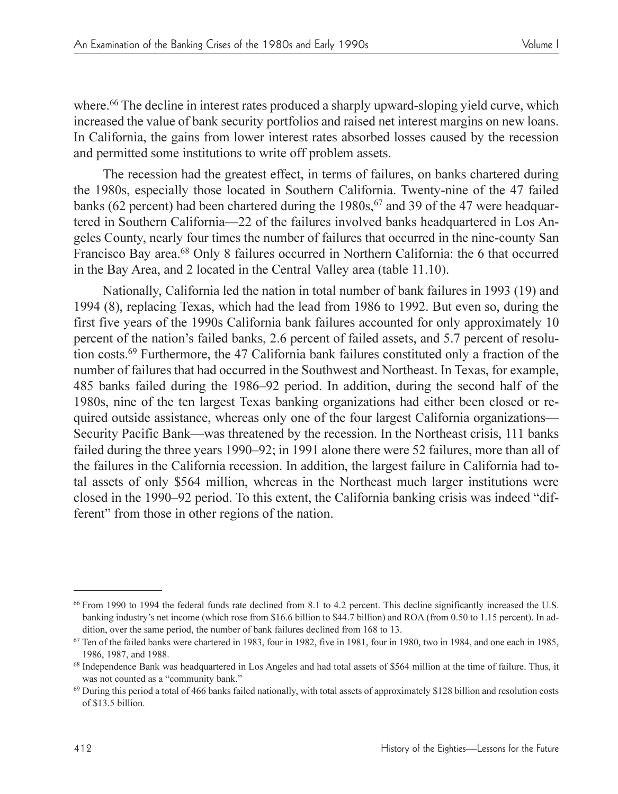where.<sup>66</sup> The decline in interest rates produced a sharply upward-sloping yield curve, which increased the value of bank security portfolios and raised net interest margins on new loans. In California, the gains from lower interest rates absorbed losses caused by the recession and permitted some institutions to write off problem assets.

The recession had the greatest effect, in terms of failures, on banks chartered during the 1980s, especially those located in Southern California. Twenty-nine of the 47 failed banks (62 percent) had been chartered during the  $1980s<sub>1</sub><sup>67</sup>$  and 39 of the 47 were headquartered in Southern California—22 of the failures involved banks headquartered in Los Angeles County, nearly four times the number of failures that occurred in the nine-county San Francisco Bay area.68 Only 8 failures occurred in Northern California: the 6 that occurred in the Bay Area, and 2 located in the Central Valley area (table 11.10).

Nationally, California led the nation in total number of bank failures in 1993 (19) and 1994 (8), replacing Texas, which had the lead from 1986 to 1992. But even so, during the first five years of the 1990s California bank failures accounted for only approximately 10 percent of the nation's failed banks, 2.6 percent of failed assets, and 5.7 percent of resolution costs.69 Furthermore, the 47 California bank failures constituted only a fraction of the number of failures that had occurred in the Southwest and Northeast. In Texas, for example, 485 banks failed during the 1986–92 period. In addition, during the second half of the 1980s, nine of the ten largest Texas banking organizations had either been closed or required outside assistance, whereas only one of the four largest California organizations— Security Pacific Bank—was threatened by the recession. In the Northeast crisis, 111 banks failed during the three years 1990–92; in 1991 alone there were 52 failures, more than all of the failures in the California recession. In addition, the largest failure in California had total assets of only \$564 million, whereas in the Northeast much larger institutions were closed in the 1990–92 period. To this extent, the California banking crisis was indeed "different" from those in other regions of the nation.

<sup>66</sup> From 1990 to 1994 the federal funds rate declined from 8.1 to 4.2 percent. This decline significantly increased the U.S. banking industry's net income (which rose from \$16.6 billion to \$44.7 billion) and ROA (from 0.50 to 1.15 percent). In addition, over the same period, the number of bank failures declined from 168 to 13.

 $67$  Ten of the failed banks were chartered in 1983, four in 1982, five in 1981, four in 1980, two in 1984, and one each in 1985, 1986, 1987, and 1988.

<sup>&</sup>lt;sup>68</sup> Independence Bank was headquartered in Los Angeles and had total assets of \$564 million at the time of failure. Thus, it was not counted as a "community bank."

<sup>&</sup>lt;sup>69</sup> During this period a total of 466 banks failed nationally, with total assets of approximately \$128 billion and resolution costs of \$13.5 billion.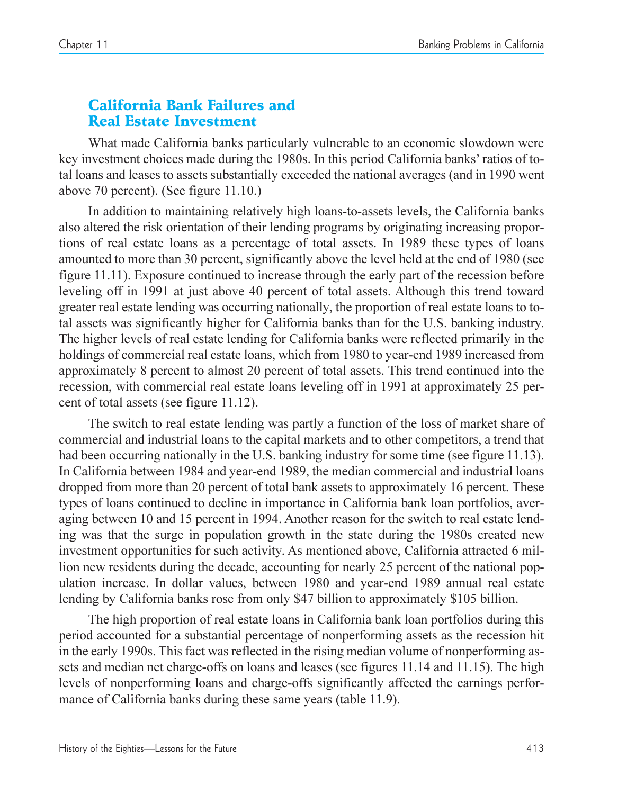# California Bank Failures and Real Estate Investment

What made California banks particularly vulnerable to an economic slowdown were key investment choices made during the 1980s. In this period California banks' ratios of total loans and leases to assets substantially exceeded the national averages (and in 1990 went above 70 percent). (See figure 11.10.)

In addition to maintaining relatively high loans-to-assets levels, the California banks also altered the risk orientation of their lending programs by originating increasing proportions of real estate loans as a percentage of total assets. In 1989 these types of loans amounted to more than 30 percent, significantly above the level held at the end of 1980 (see figure 11.11). Exposure continued to increase through the early part of the recession before leveling off in 1991 at just above 40 percent of total assets. Although this trend toward greater real estate lending was occurring nationally, the proportion of real estate loans to total assets was significantly higher for California banks than for the U.S. banking industry. The higher levels of real estate lending for California banks were reflected primarily in the holdings of commercial real estate loans, which from 1980 to year-end 1989 increased from approximately 8 percent to almost 20 percent of total assets. This trend continued into the recession, with commercial real estate loans leveling off in 1991 at approximately 25 percent of total assets (see figure 11.12).

The switch to real estate lending was partly a function of the loss of market share of commercial and industrial loans to the capital markets and to other competitors, a trend that had been occurring nationally in the U.S. banking industry for some time (see figure 11.13). In California between 1984 and year-end 1989, the median commercial and industrial loans dropped from more than 20 percent of total bank assets to approximately 16 percent. These types of loans continued to decline in importance in California bank loan portfolios, averaging between 10 and 15 percent in 1994. Another reason for the switch to real estate lending was that the surge in population growth in the state during the 1980s created new investment opportunities for such activity. As mentioned above, California attracted 6 million new residents during the decade, accounting for nearly 25 percent of the national population increase. In dollar values, between 1980 and year-end 1989 annual real estate lending by California banks rose from only \$47 billion to approximately \$105 billion.

The high proportion of real estate loans in California bank loan portfolios during this period accounted for a substantial percentage of nonperforming assets as the recession hit in the early 1990s. This fact was reflected in the rising median volume of nonperforming assets and median net charge-offs on loans and leases (see figures 11.14 and 11.15). The high levels of nonperforming loans and charge-offs significantly affected the earnings performance of California banks during these same years (table 11.9).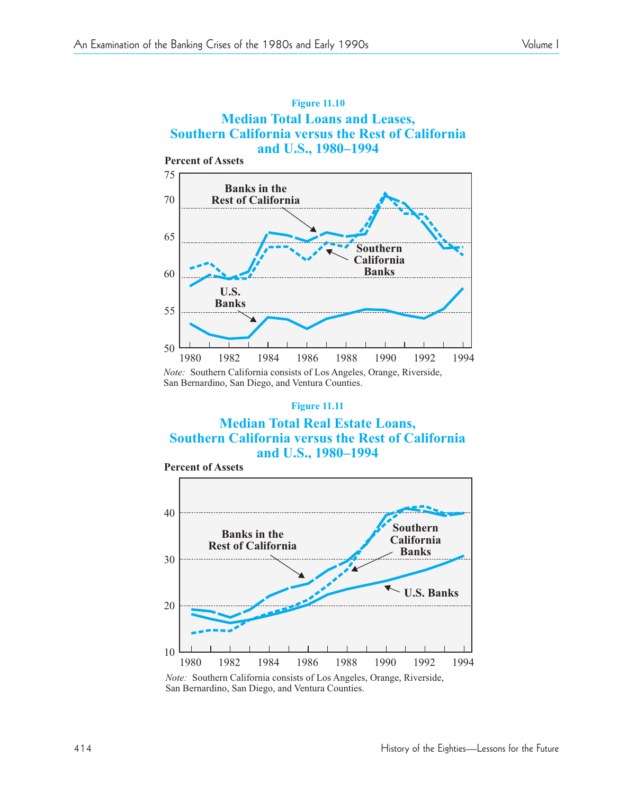**Percent of Assets**



*Note:* Southern California consists of Los Angeles, Orange, Riverside, San Bernardino, San Diego, and Ventura Counties.

#### **Figure 11.11**

#### **Median Total Real Estate Loans, Southern California versus the Rest of California and U.S., 1980–1994**



*Note:* Southern California consists of Los Angeles, Orange, Riverside, San Bernardino, San Diego, and Ventura Counties.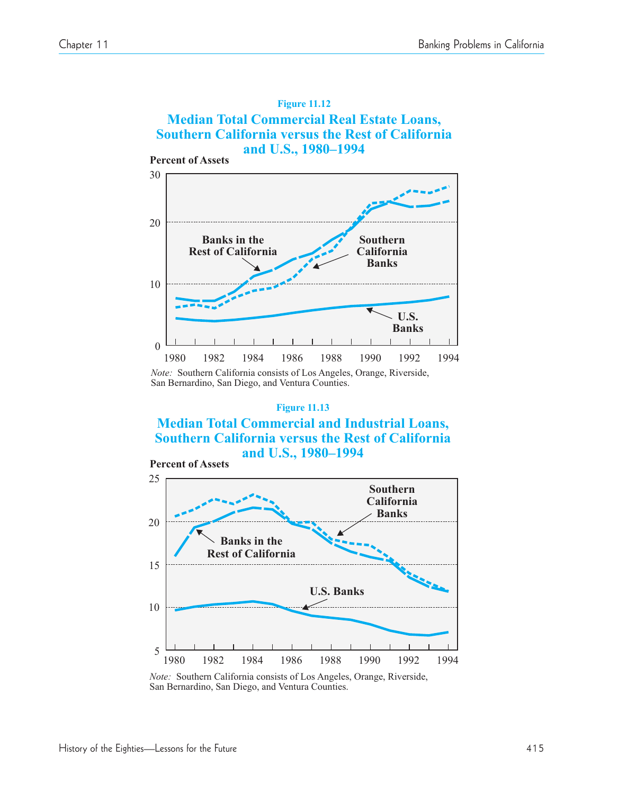

*Note:* Southern California consists of Los Angeles, Orange, Riverside, San Bernardino, San Diego, and Ventura Counties.

#### **Figure 11.13**

**Median Total Commercial and Industrial Loans, Southern California versus the Rest of California and U.S., 1980–1994**



*Note:* Southern California consists of Los Angeles, Orange, Riverside, San Bernardino, San Diego, and Ventura Counties.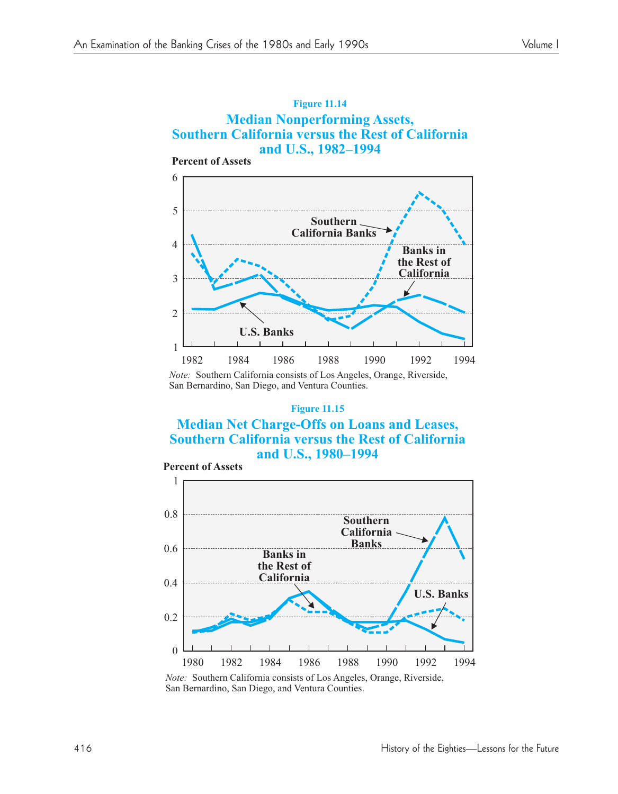

*Note:* Southern California consists of Los Angeles, Orange, Riverside,

San Bernardino, San Diego, and Ventura Counties.

#### **Figure 11.15**

#### **Median Net Charge-Offs on Loans and Leases, Southern California versus the Rest of California and U.S., 1980–1994**

![](_page_37_Figure_7.jpeg)

*Note:* Southern California consists of Los Angeles, Orange, Riverside, San Bernardino, San Diego, and Ventura Counties.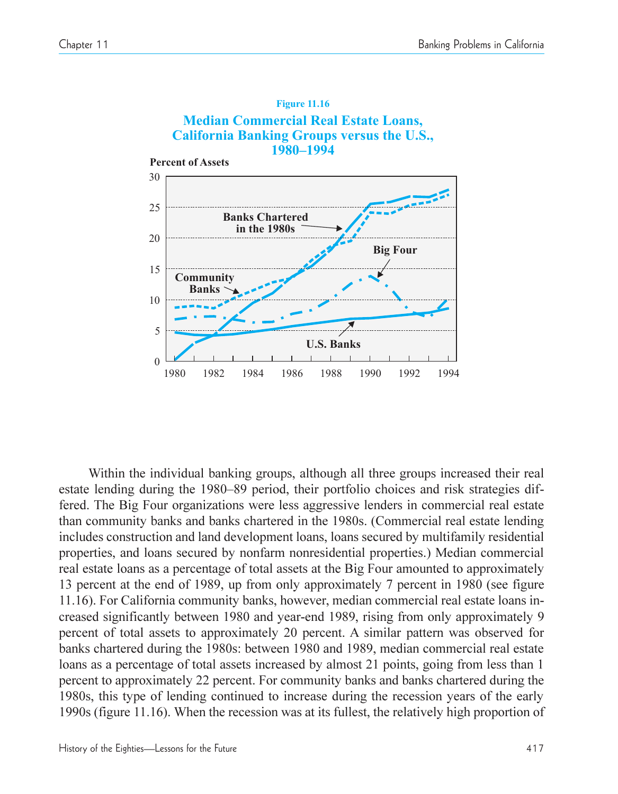![](_page_38_Figure_2.jpeg)

Within the individual banking groups, although all three groups increased their real estate lending during the 1980–89 period, their portfolio choices and risk strategies differed. The Big Four organizations were less aggressive lenders in commercial real estate than community banks and banks chartered in the 1980s. (Commercial real estate lending includes construction and land development loans, loans secured by multifamily residential properties, and loans secured by nonfarm nonresidential properties.) Median commercial real estate loans as a percentage of total assets at the Big Four amounted to approximately 13 percent at the end of 1989, up from only approximately 7 percent in 1980 (see figure 11.16). For California community banks, however, median commercial real estate loans increased significantly between 1980 and year-end 1989, rising from only approximately 9 percent of total assets to approximately 20 percent. A similar pattern was observed for banks chartered during the 1980s: between 1980 and 1989, median commercial real estate loans as a percentage of total assets increased by almost 21 points, going from less than 1 percent to approximately 22 percent. For community banks and banks chartered during the 1980s, this type of lending continued to increase during the recession years of the early 1990s (figure 11.16). When the recession was at its fullest, the relatively high proportion of